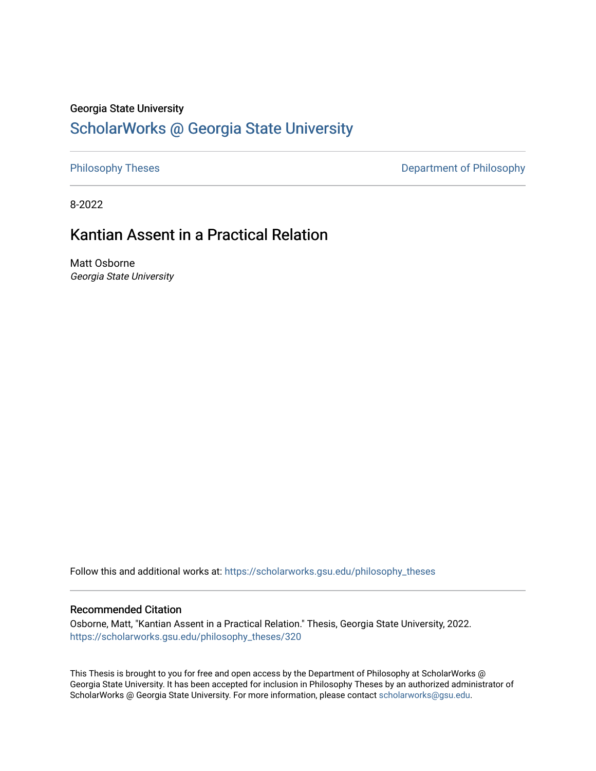## Georgia State University

# [ScholarWorks @ Georgia State University](https://scholarworks.gsu.edu/)

[Philosophy Theses](https://scholarworks.gsu.edu/philosophy_theses) **Department of Philosophy** 

8-2022

# Kantian Assent in a Practical Relation

Matt Osborne Georgia State University

Follow this and additional works at: [https://scholarworks.gsu.edu/philosophy\\_theses](https://scholarworks.gsu.edu/philosophy_theses?utm_source=scholarworks.gsu.edu%2Fphilosophy_theses%2F320&utm_medium=PDF&utm_campaign=PDFCoverPages) 

#### Recommended Citation

Osborne, Matt, "Kantian Assent in a Practical Relation." Thesis, Georgia State University, 2022. [https://scholarworks.gsu.edu/philosophy\\_theses/320](https://scholarworks.gsu.edu/philosophy_theses/320?utm_source=scholarworks.gsu.edu%2Fphilosophy_theses%2F320&utm_medium=PDF&utm_campaign=PDFCoverPages) 

This Thesis is brought to you for free and open access by the Department of Philosophy at ScholarWorks @ Georgia State University. It has been accepted for inclusion in Philosophy Theses by an authorized administrator of ScholarWorks @ Georgia State University. For more information, please contact [scholarworks@gsu.edu](mailto:scholarworks@gsu.edu).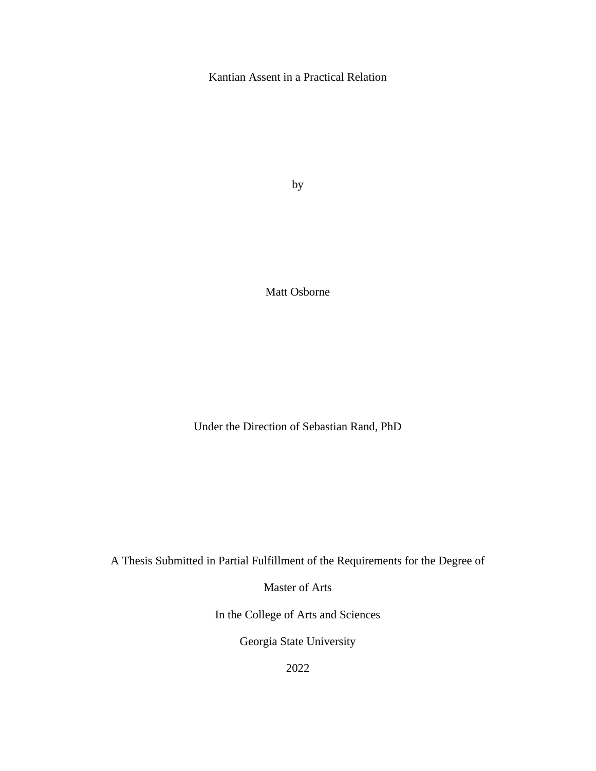# Kantian Assent in a Practical Relation

by

Matt Osborne

Under the Direction of Sebastian Rand, PhD

A Thesis Submitted in Partial Fulfillment of the Requirements for the Degree of

Master of Arts

In the College of Arts and Sciences

Georgia State University

2022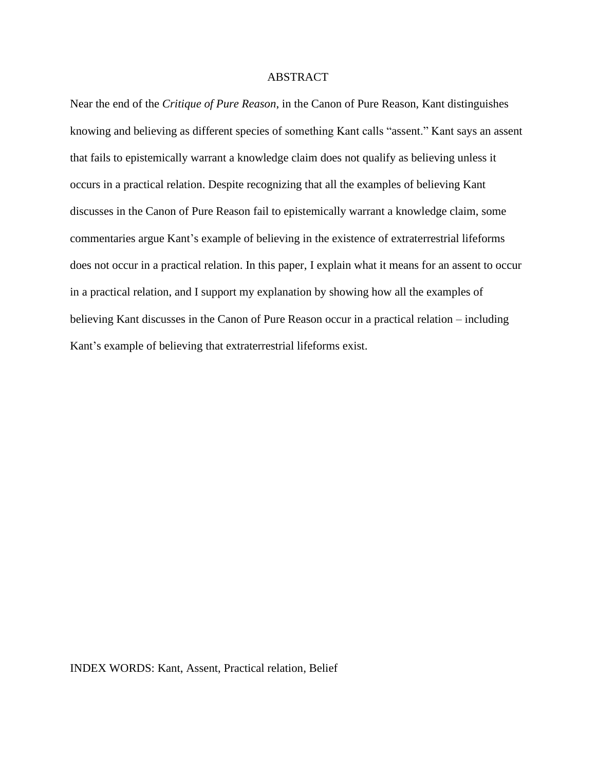## ABSTRACT

Near the end of the *Critique of Pure Reason*, in the Canon of Pure Reason, Kant distinguishes knowing and believing as different species of something Kant calls "assent." Kant says an assent that fails to epistemically warrant a knowledge claim does not qualify as believing unless it occurs in a practical relation. Despite recognizing that all the examples of believing Kant discusses in the Canon of Pure Reason fail to epistemically warrant a knowledge claim, some commentaries argue Kant's example of believing in the existence of extraterrestrial lifeforms does not occur in a practical relation. In this paper, I explain what it means for an assent to occur in a practical relation, and I support my explanation by showing how all the examples of believing Kant discusses in the Canon of Pure Reason occur in a practical relation – including Kant's example of believing that extraterrestrial lifeforms exist.

#### INDEX WORDS: Kant, Assent, Practical relation, Belief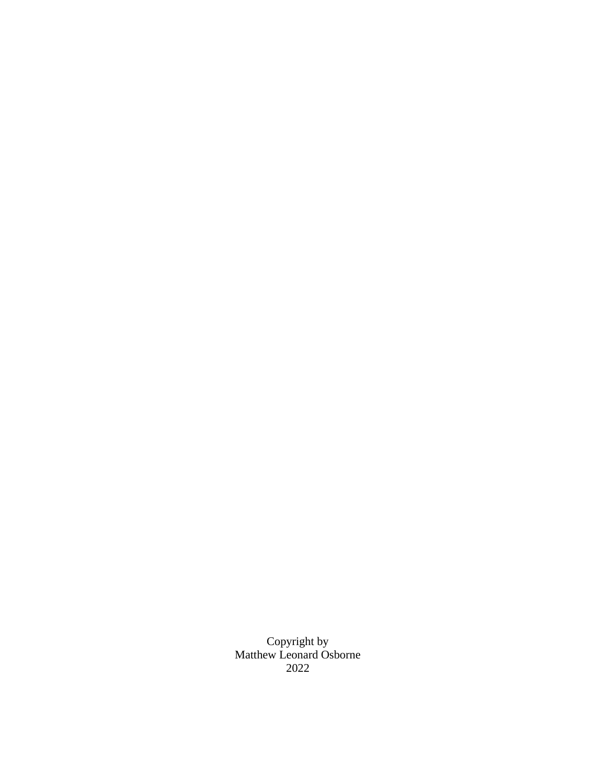Copyright by Matthew Leonard Osborne 2022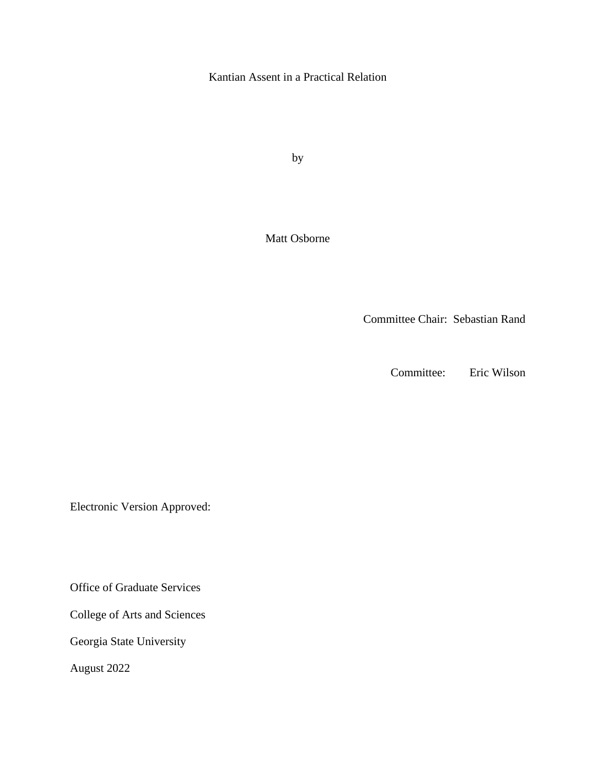Kantian Assent in a Practical Relation

by

Matt Osborne

Committee Chair: Sebastian Rand

Committee: Eric Wilson

Electronic Version Approved:

Office of Graduate Services

College of Arts and Sciences

Georgia State University

August 2022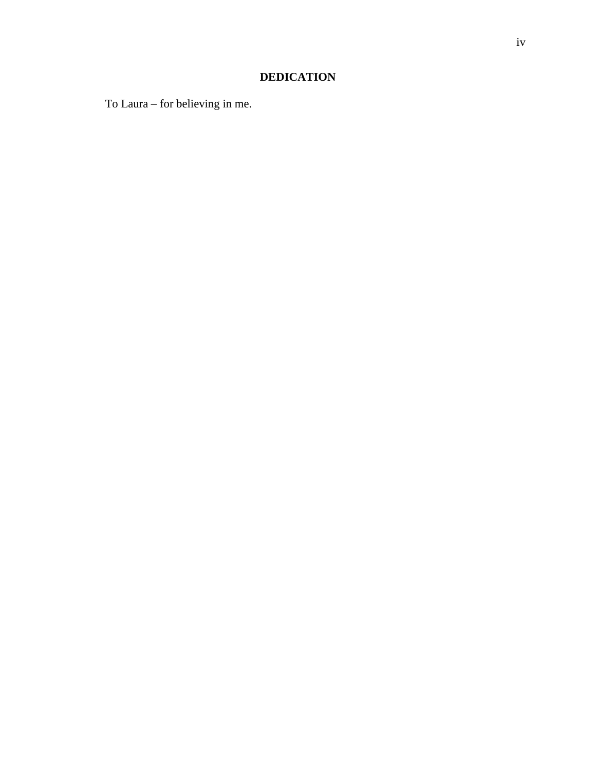# **DEDICATION**

To Laura – for believing in me.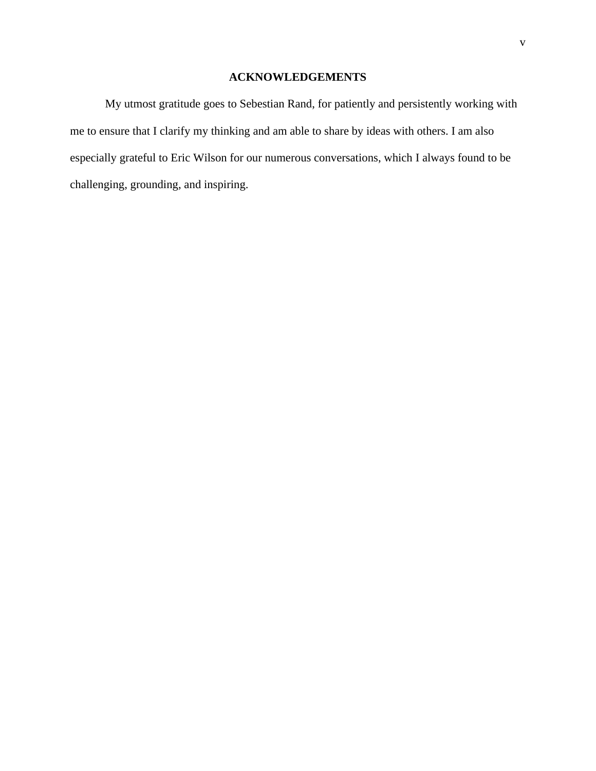# **ACKNOWLEDGEMENTS**

<span id="page-6-0"></span>My utmost gratitude goes to Sebestian Rand, for patiently and persistently working with me to ensure that I clarify my thinking and am able to share by ideas with others. I am also especially grateful to Eric Wilson for our numerous conversations, which I always found to be challenging, grounding, and inspiring.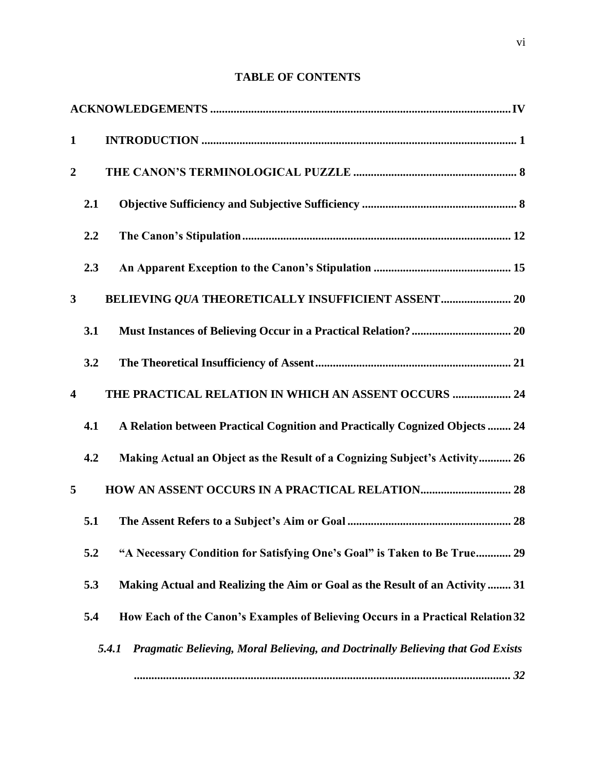| <b>TABLE OF CONTENTS</b> |  |  |  |
|--------------------------|--|--|--|
|--------------------------|--|--|--|

| $\mathbf{1}$            |     |                                                                                          |
|-------------------------|-----|------------------------------------------------------------------------------------------|
| $\overline{2}$          |     |                                                                                          |
|                         | 2.1 |                                                                                          |
|                         | 2.2 |                                                                                          |
|                         | 2.3 |                                                                                          |
| $\mathbf{3}$            |     |                                                                                          |
|                         | 3.1 |                                                                                          |
|                         | 3.2 |                                                                                          |
| $\overline{\mathbf{4}}$ |     | THE PRACTICAL RELATION IN WHICH AN ASSENT OCCURS  24                                     |
|                         | 4.1 | A Relation between Practical Cognition and Practically Cognized Objects  24              |
|                         | 4.2 | Making Actual an Object as the Result of a Cognizing Subject's Activity 26               |
| 5                       |     |                                                                                          |
|                         | 5.1 |                                                                                          |
|                         | 5.2 | "A Necessary Condition for Satisfying One's Goal" is Taken to Be True 29                 |
|                         | 5.3 | Making Actual and Realizing the Aim or Goal as the Result of an Activity  31             |
|                         | 5.4 | How Each of the Canon's Examples of Believing Occurs in a Practical Relation 32          |
|                         |     | Pragmatic Believing, Moral Believing, and Doctrinally Believing that God Exists<br>5.4.1 |
|                         |     |                                                                                          |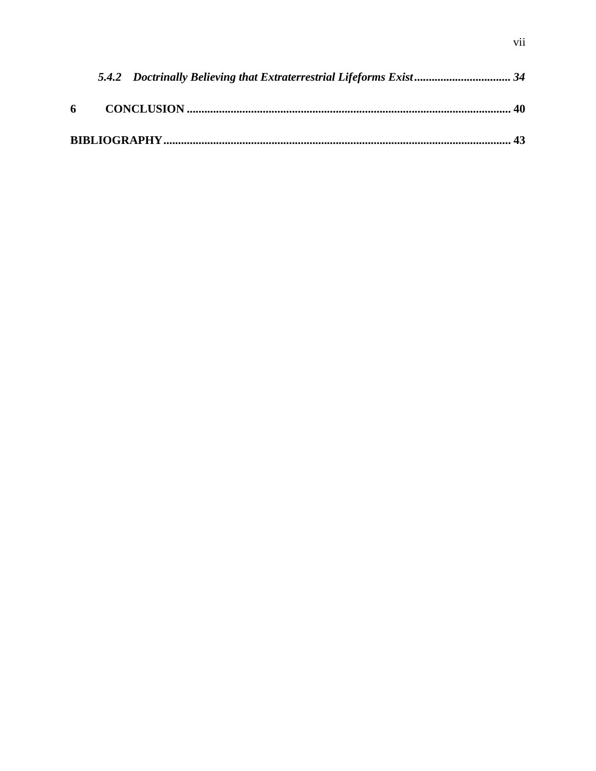|  | 5.4.2 Doctrinally Believing that Extraterrestrial Lifeforms Exist 34 |  |
|--|----------------------------------------------------------------------|--|
|  |                                                                      |  |
|  |                                                                      |  |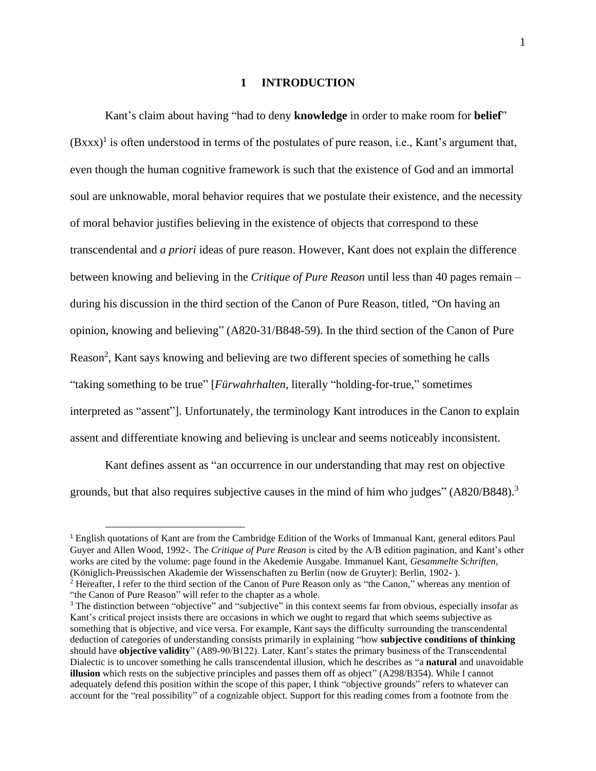#### **1 INTRODUCTION**

<span id="page-9-0"></span>Kant's claim about having "had to deny **knowledge** in order to make room for **belief**"  $(Bxxx)^1$  is often understood in terms of the postulates of pure reason, i.e., Kant's argument that, even though the human cognitive framework is such that the existence of God and an immortal soul are unknowable, moral behavior requires that we postulate their existence, and the necessity of moral behavior justifies believing in the existence of objects that correspond to these transcendental and *a priori* ideas of pure reason. However, Kant does not explain the difference between knowing and believing in the *Critique of Pure Reason* until less than 40 pages remain – during his discussion in the third section of the Canon of Pure Reason, titled, "On having an opinion, knowing and believing" (A820-31/B848-59). In the third section of the Canon of Pure Reason<sup>2</sup>, Kant says knowing and believing are two different species of something he calls "taking something to be true" [*Fürwahrhalten*, literally "holding-for-true," sometimes interpreted as "assent"]. Unfortunately, the terminology Kant introduces in the Canon to explain assent and differentiate knowing and believing is unclear and seems noticeably inconsistent.

Kant defines assent as "an occurrence in our understanding that may rest on objective grounds, but that also requires subjective causes in the mind of him who judges" (A820/B848).<sup>3</sup>

<sup>&</sup>lt;sup>1</sup> English quotations of Kant are from the Cambridge Edition of the Works of Immanual Kant, general editors Paul Guyer and Allen Wood, 1992-. The *Critique of Pure Reason* is cited by the A/B edition pagination, and Kant's other works are cited by the volume: page found in the Akedemie Ausgabe. Immanuel Kant, *Gesammelte Schriften*, (Königlich-Preussischen Akademie der Wissenschaften zu Berlin (now de Gruyter): Berlin, 1902- ).

<sup>&</sup>lt;sup>2</sup> Hereafter, I refer to the third section of the Canon of Pure Reason only as "the Canon," whereas any mention of "the Canon of Pure Reason" will refer to the chapter as a whole.

<sup>&</sup>lt;sup>3</sup> The distinction between "objective" and "subjective" in this context seems far from obvious, especially insofar as Kant's critical project insists there are occasions in which we ought to regard that which seems subjective as something that is objective, and vice versa. For example, Kant says the difficulty surrounding the transcendental deduction of categories of understanding consists primarily in explaining "how **subjective conditions of thinking** should have **objective validity**" (A89-90/B122). Later, Kant's states the primary business of the Transcendental Dialectic is to uncover something he calls transcendental illusion, which he describes as "a **natural** and unavoidable **illusion** which rests on the subjective principles and passes them off as object" (A298/B354). While I cannot adequately defend this position within the scope of this paper, I think "objective grounds" refers to whatever can account for the "real possibility" of a cognizable object. Support for this reading comes from a footnote from the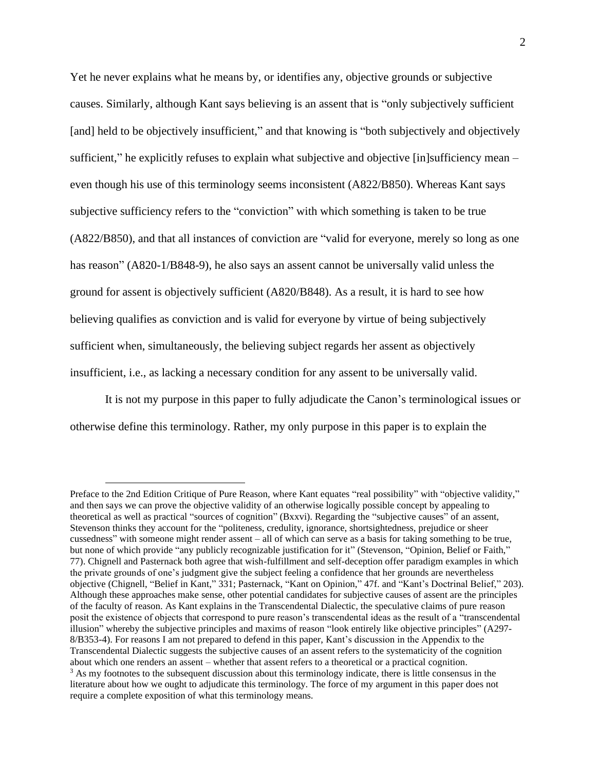Yet he never explains what he means by, or identifies any, objective grounds or subjective causes. Similarly, although Kant says believing is an assent that is "only subjectively sufficient [and] held to be objectively insufficient," and that knowing is "both subjectively and objectively sufficient," he explicitly refuses to explain what subjective and objective [in]sufficiency mean – even though his use of this terminology seems inconsistent (A822/B850). Whereas Kant says subjective sufficiency refers to the "conviction" with which something is taken to be true (A822/B850), and that all instances of conviction are "valid for everyone, merely so long as one has reason" (A820-1/B848-9), he also says an assent cannot be universally valid unless the ground for assent is objectively sufficient (A820/B848). As a result, it is hard to see how believing qualifies as conviction and is valid for everyone by virtue of being subjectively sufficient when, simultaneously, the believing subject regards her assent as objectively insufficient, i.e., as lacking a necessary condition for any assent to be universally valid.

It is not my purpose in this paper to fully adjudicate the Canon's terminological issues or otherwise define this terminology. Rather, my only purpose in this paper is to explain the

Preface to the 2nd Edition Critique of Pure Reason, where Kant equates "real possibility" with "objective validity," and then says we can prove the objective validity of an otherwise logically possible concept by appealing to theoretical as well as practical "sources of cognition" (Bxxvi). Regarding the "subjective causes" of an assent, Stevenson thinks they account for the "politeness, credulity, ignorance, shortsightedness, prejudice or sheer cussedness" with someone might render assent – all of which can serve as a basis for taking something to be true, but none of which provide "any publicly recognizable justification for it" (Stevenson, "Opinion, Belief or Faith," 77). Chignell and Pasternack both agree that wish-fulfillment and self-deception offer paradigm examples in which the private grounds of one's judgment give the subject feeling a confidence that her grounds are nevertheless objective (Chignell, "Belief in Kant," 331; Pasternack, "Kant on Opinion," 47f. and "Kant's Doctrinal Belief," 203). Although these approaches make sense, other potential candidates for subjective causes of assent are the principles of the faculty of reason. As Kant explains in the Transcendental Dialectic, the speculative claims of pure reason posit the existence of objects that correspond to pure reason's transcendental ideas as the result of a "transcendental illusion" whereby the subjective principles and maxims of reason "look entirely like objective principles" (A297- 8/B353-4). For reasons I am not prepared to defend in this paper, Kant's discussion in the Appendix to the Transcendental Dialectic suggests the subjective causes of an assent refers to the systematicity of the cognition about which one renders an assent – whether that assent refers to a theoretical or a practical cognition. <sup>3</sup> As my footnotes to the subsequent discussion about this terminology indicate, there is little consensus in the literature about how we ought to adjudicate this terminology. The force of my argument in this paper does not require a complete exposition of what this terminology means.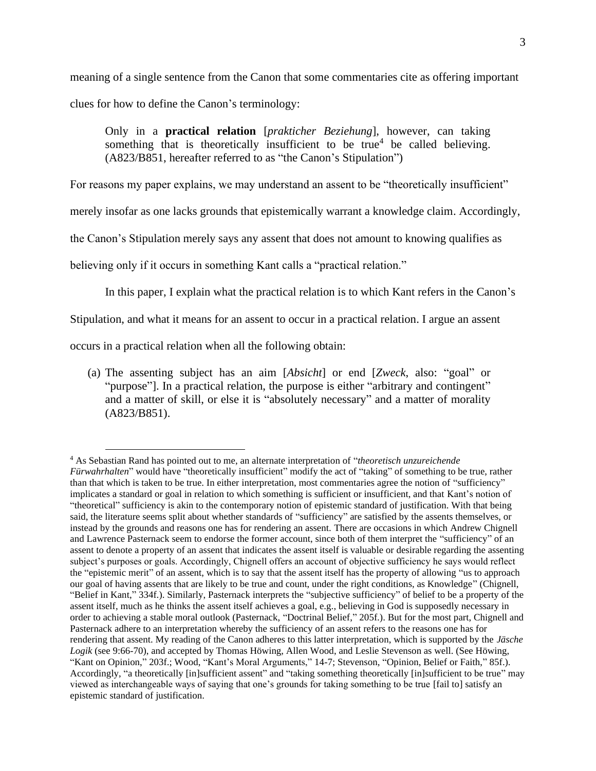meaning of a single sentence from the Canon that some commentaries cite as offering important clues for how to define the Canon's terminology:

Only in a **practical relation** [*prakticher Beziehung*], however, can taking something that is theoretically insufficient to be true<sup>4</sup> be called believing. (A823/B851, hereafter referred to as "the Canon's Stipulation")

For reasons my paper explains, we may understand an assent to be "theoretically insufficient"

merely insofar as one lacks grounds that epistemically warrant a knowledge claim. Accordingly,

the Canon's Stipulation merely says any assent that does not amount to knowing qualifies as

believing only if it occurs in something Kant calls a "practical relation."

In this paper, I explain what the practical relation is to which Kant refers in the Canon's

Stipulation, and what it means for an assent to occur in a practical relation. I argue an assent

occurs in a practical relation when all the following obtain:

(a) The assenting subject has an aim [*Absicht*] or end [*Zweck*, also: "goal" or "purpose"]. In a practical relation, the purpose is either "arbitrary and contingent" and a matter of skill, or else it is "absolutely necessary" and a matter of morality (A823/B851).

<sup>4</sup> As Sebastian Rand has pointed out to me, an alternate interpretation of "*theoretisch unzureichende Fürwahrhalten*" would have "theoretically insufficient" modify the act of "taking" of something to be true, rather than that which is taken to be true. In either interpretation, most commentaries agree the notion of "sufficiency" implicates a standard or goal in relation to which something is sufficient or insufficient, and that Kant's notion of "theoretical" sufficiency is akin to the contemporary notion of epistemic standard of justification. With that being said, the literature seems split about whether standards of "sufficiency" are satisfied by the assents themselves, or instead by the grounds and reasons one has for rendering an assent. There are occasions in which Andrew Chignell and Lawrence Pasternack seem to endorse the former account, since both of them interpret the "sufficiency" of an assent to denote a property of an assent that indicates the assent itself is valuable or desirable regarding the assenting subject's purposes or goals. Accordingly, Chignell offers an account of objective sufficiency he says would reflect the "epistemic merit" of an assent, which is to say that the assent itself has the property of allowing "us to approach our goal of having assents that are likely to be true and count, under the right conditions, as Knowledge" (Chignell, "Belief in Kant," 334f.). Similarly, Pasternack interprets the "subjective sufficiency" of belief to be a property of the assent itself, much as he thinks the assent itself achieves a goal, e.g., believing in God is supposedly necessary in order to achieving a stable moral outlook (Pasternack, "Doctrinal Belief," 205f.). But for the most part, Chignell and Pasternack adhere to an interpretation whereby the sufficiency of an assent refers to the reasons one has for rendering that assent. My reading of the Canon adheres to this latter interpretation, which is supported by the *Jäsche Logik* (see 9:66-70), and accepted by Thomas Höwing, Allen Wood, and Leslie Stevenson as well. (See Höwing, "Kant on Opinion," 203f.; Wood, "Kant's Moral Arguments," 14-7; Stevenson, "Opinion, Belief or Faith," 85f.). Accordingly, "a theoretically [in]sufficient assent" and "taking something theoretically [in]sufficient to be true" may viewed as interchangeable ways of saying that one's grounds for taking something to be true [fail to] satisfy an epistemic standard of justification.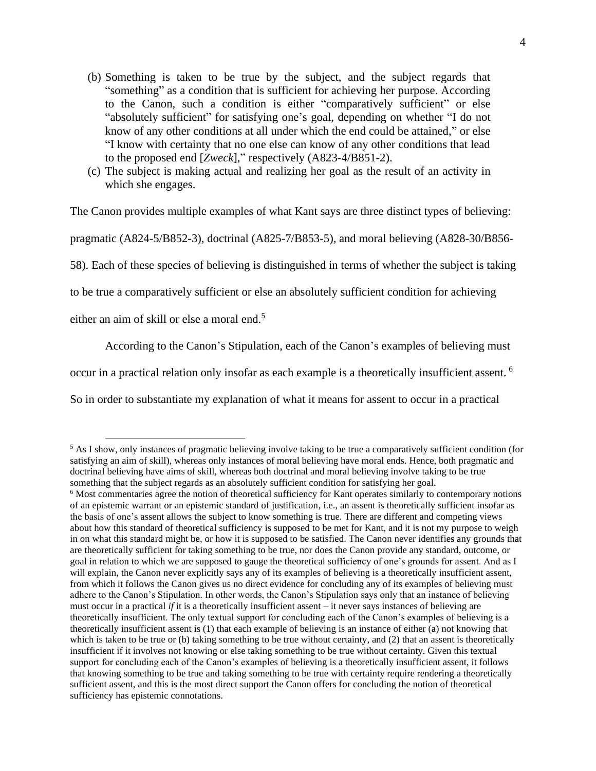- (b) Something is taken to be true by the subject, and the subject regards that "something" as a condition that is sufficient for achieving her purpose. According to the Canon, such a condition is either "comparatively sufficient" or else "absolutely sufficient" for satisfying one's goal, depending on whether "I do not know of any other conditions at all under which the end could be attained," or else "I know with certainty that no one else can know of any other conditions that lead to the proposed end [*Zweck*]," respectively (A823-4/B851-2).
- (c) The subject is making actual and realizing her goal as the result of an activity in which she engages.

The Canon provides multiple examples of what Kant says are three distinct types of believing:

pragmatic (A824-5/B852-3), doctrinal (A825-7/B853-5), and moral believing (A828-30/B856-

58). Each of these species of believing is distinguished in terms of whether the subject is taking

to be true a comparatively sufficient or else an absolutely sufficient condition for achieving

either an aim of skill or else a moral end.<sup>5</sup>

According to the Canon's Stipulation, each of the Canon's examples of believing must

occur in a practical relation only insofar as each example is a theoretically insufficient assent. <sup>6</sup>

So in order to substantiate my explanation of what it means for assent to occur in a practical

<sup>&</sup>lt;sup>5</sup> As I show, only instances of pragmatic believing involve taking to be true a comparatively sufficient condition (for satisfying an aim of skill), whereas only instances of moral believing have moral ends. Hence, both pragmatic and doctrinal believing have aims of skill, whereas both doctrinal and moral believing involve taking to be true something that the subject regards as an absolutely sufficient condition for satisfying her goal.

<sup>6</sup> Most commentaries agree the notion of theoretical sufficiency for Kant operates similarly to contemporary notions of an epistemic warrant or an epistemic standard of justification, i.e., an assent is theoretically sufficient insofar as the basis of one's assent allows the subject to know something is true. There are different and competing views about how this standard of theoretical sufficiency is supposed to be met for Kant, and it is not my purpose to weigh in on what this standard might be, or how it is supposed to be satisfied. The Canon never identifies any grounds that are theoretically sufficient for taking something to be true, nor does the Canon provide any standard, outcome, or goal in relation to which we are supposed to gauge the theoretical sufficiency of one's grounds for assent. And as I will explain, the Canon never explicitly says any of its examples of believing is a theoretically insufficient assent, from which it follows the Canon gives us no direct evidence for concluding any of its examples of believing must adhere to the Canon's Stipulation. In other words, the Canon's Stipulation says only that an instance of believing must occur in a practical *if* it is a theoretically insufficient assent – it never says instances of believing are theoretically insufficient. The only textual support for concluding each of the Canon's examples of believing is a theoretically insufficient assent is (1) that each example of believing is an instance of either (a) not knowing that which is taken to be true or (b) taking something to be true without certainty, and (2) that an assent is theoretically insufficient if it involves not knowing or else taking something to be true without certainty. Given this textual support for concluding each of the Canon's examples of believing is a theoretically insufficient assent, it follows that knowing something to be true and taking something to be true with certainty require rendering a theoretically sufficient assent, and this is the most direct support the Canon offers for concluding the notion of theoretical sufficiency has epistemic connotations.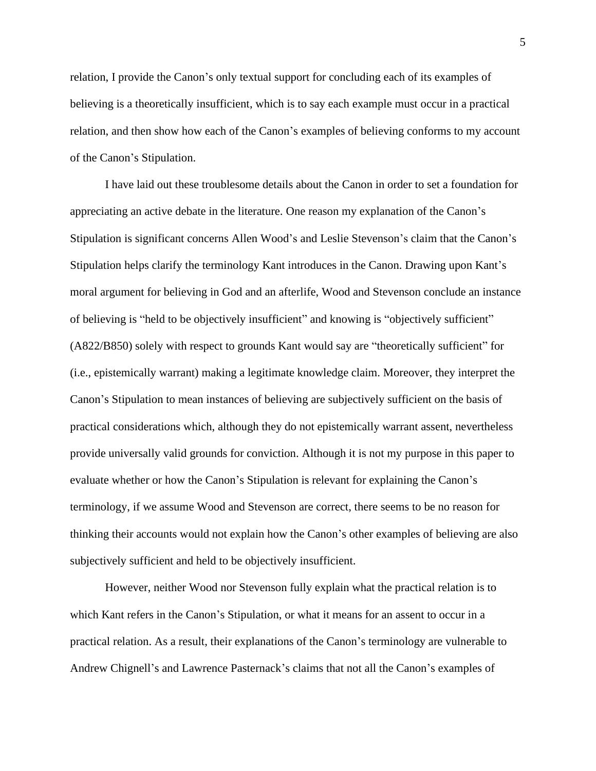relation, I provide the Canon's only textual support for concluding each of its examples of believing is a theoretically insufficient, which is to say each example must occur in a practical relation, and then show how each of the Canon's examples of believing conforms to my account of the Canon's Stipulation.

I have laid out these troublesome details about the Canon in order to set a foundation for appreciating an active debate in the literature. One reason my explanation of the Canon's Stipulation is significant concerns Allen Wood's and Leslie Stevenson's claim that the Canon's Stipulation helps clarify the terminology Kant introduces in the Canon. Drawing upon Kant's moral argument for believing in God and an afterlife, Wood and Stevenson conclude an instance of believing is "held to be objectively insufficient" and knowing is "objectively sufficient" (A822/B850) solely with respect to grounds Kant would say are "theoretically sufficient" for (i.e., epistemically warrant) making a legitimate knowledge claim. Moreover, they interpret the Canon's Stipulation to mean instances of believing are subjectively sufficient on the basis of practical considerations which, although they do not epistemically warrant assent, nevertheless provide universally valid grounds for conviction. Although it is not my purpose in this paper to evaluate whether or how the Canon's Stipulation is relevant for explaining the Canon's terminology, if we assume Wood and Stevenson are correct, there seems to be no reason for thinking their accounts would not explain how the Canon's other examples of believing are also subjectively sufficient and held to be objectively insufficient.

However, neither Wood nor Stevenson fully explain what the practical relation is to which Kant refers in the Canon's Stipulation, or what it means for an assent to occur in a practical relation. As a result, their explanations of the Canon's terminology are vulnerable to Andrew Chignell's and Lawrence Pasternack's claims that not all the Canon's examples of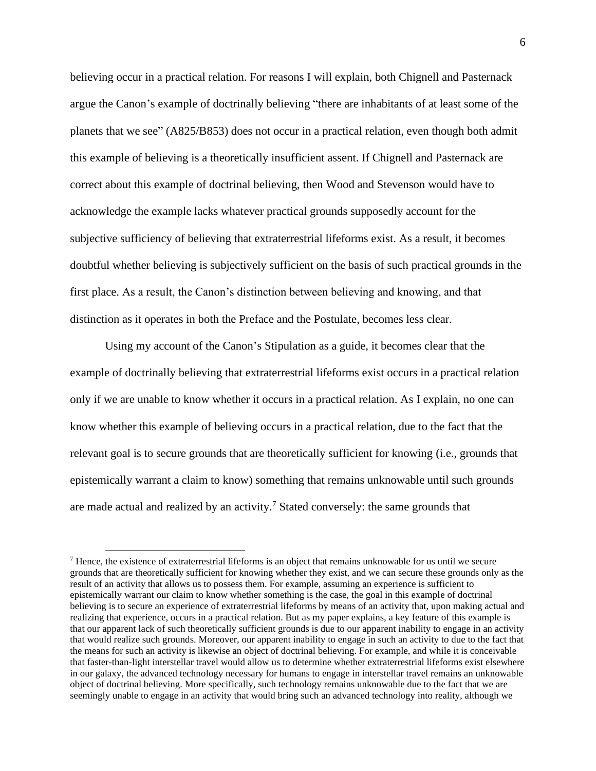believing occur in a practical relation. For reasons I will explain, both Chignell and Pasternack argue the Canon's example of doctrinally believing "there are inhabitants of at least some of the planets that we see" (A825/B853) does not occur in a practical relation, even though both admit this example of believing is a theoretically insufficient assent. If Chignell and Pasternack are correct about this example of doctrinal believing, then Wood and Stevenson would have to acknowledge the example lacks whatever practical grounds supposedly account for the subjective sufficiency of believing that extraterrestrial lifeforms exist. As a result, it becomes doubtful whether believing is subjectively sufficient on the basis of such practical grounds in the first place. As a result, the Canon's distinction between believing and knowing, and that distinction as it operates in both the Preface and the Postulate, becomes less clear.

Using my account of the Canon's Stipulation as a guide, it becomes clear that the example of doctrinally believing that extraterrestrial lifeforms exist occurs in a practical relation only if we are unable to know whether it occurs in a practical relation. As I explain, no one can know whether this example of believing occurs in a practical relation, due to the fact that the relevant goal is to secure grounds that are theoretically sufficient for knowing (i.e., grounds that epistemically warrant a claim to know) something that remains unknowable until such grounds are made actual and realized by an activity.<sup>7</sup> Stated conversely: the same grounds that

<sup>7</sup> Hence, the existence of extraterrestrial lifeforms is an object that remains unknowable for us until we secure grounds that are theoretically sufficient for knowing whether they exist, and we can secure these grounds only as the result of an activity that allows us to possess them. For example, assuming an experience is sufficient to epistemically warrant our claim to know whether something is the case, the goal in this example of doctrinal believing is to secure an experience of extraterrestrial lifeforms by means of an activity that, upon making actual and realizing that experience, occurs in a practical relation. But as my paper explains, a key feature of this example is that our apparent lack of such theoretically sufficient grounds is due to our apparent inability to engage in an activity that would realize such grounds. Moreover, our apparent inability to engage in such an activity to due to the fact that the means for such an activity is likewise an object of doctrinal believing. For example, and while it is conceivable that faster-than-light interstellar travel would allow us to determine whether extraterrestrial lifeforms exist elsewhere in our galaxy, the advanced technology necessary for humans to engage in interstellar travel remains an unknowable object of doctrinal believing. More specifically, such technology remains unknowable due to the fact that we are seemingly unable to engage in an activity that would bring such an advanced technology into reality, although we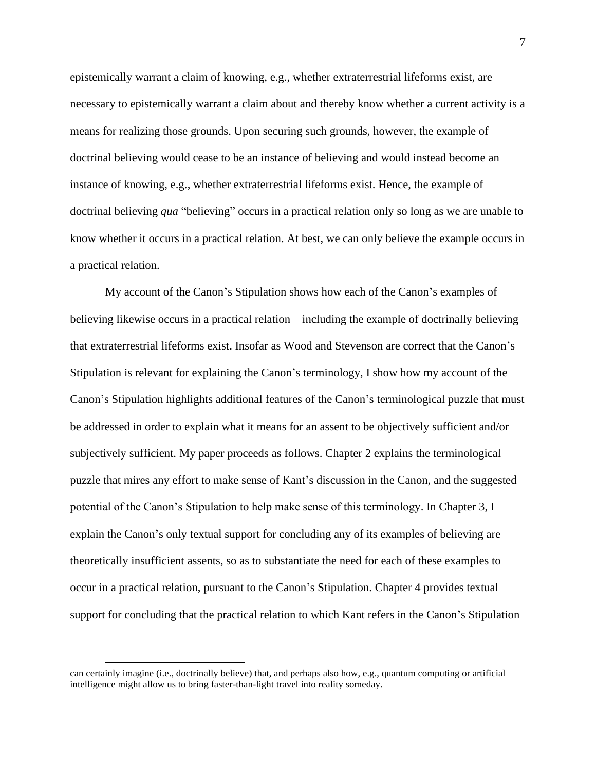epistemically warrant a claim of knowing, e.g., whether extraterrestrial lifeforms exist, are necessary to epistemically warrant a claim about and thereby know whether a current activity is a means for realizing those grounds. Upon securing such grounds, however, the example of doctrinal believing would cease to be an instance of believing and would instead become an instance of knowing, e.g., whether extraterrestrial lifeforms exist. Hence, the example of doctrinal believing *qua* "believing" occurs in a practical relation only so long as we are unable to know whether it occurs in a practical relation. At best, we can only believe the example occurs in a practical relation.

My account of the Canon's Stipulation shows how each of the Canon's examples of believing likewise occurs in a practical relation – including the example of doctrinally believing that extraterrestrial lifeforms exist. Insofar as Wood and Stevenson are correct that the Canon's Stipulation is relevant for explaining the Canon's terminology, I show how my account of the Canon's Stipulation highlights additional features of the Canon's terminological puzzle that must be addressed in order to explain what it means for an assent to be objectively sufficient and/or subjectively sufficient. My paper proceeds as follows. Chapter 2 explains the terminological puzzle that mires any effort to make sense of Kant's discussion in the Canon, and the suggested potential of the Canon's Stipulation to help make sense of this terminology. In Chapter 3, I explain the Canon's only textual support for concluding any of its examples of believing are theoretically insufficient assents, so as to substantiate the need for each of these examples to occur in a practical relation, pursuant to the Canon's Stipulation. Chapter 4 provides textual support for concluding that the practical relation to which Kant refers in the Canon's Stipulation

can certainly imagine (i.e., doctrinally believe) that, and perhaps also how, e.g., quantum computing or artificial intelligence might allow us to bring faster-than-light travel into reality someday.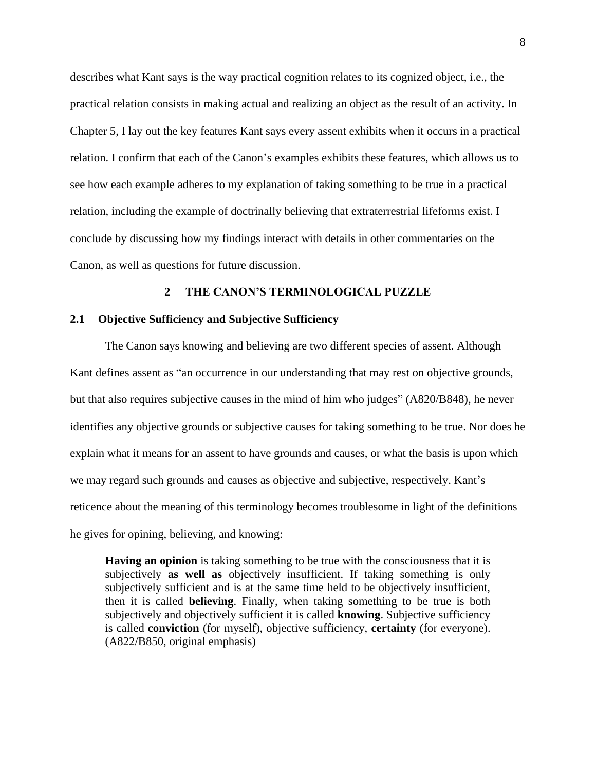describes what Kant says is the way practical cognition relates to its cognized object, i.e., the practical relation consists in making actual and realizing an object as the result of an activity. In Chapter 5, I lay out the key features Kant says every assent exhibits when it occurs in a practical relation. I confirm that each of the Canon's examples exhibits these features, which allows us to see how each example adheres to my explanation of taking something to be true in a practical relation, including the example of doctrinally believing that extraterrestrial lifeforms exist. I conclude by discussing how my findings interact with details in other commentaries on the Canon, as well as questions for future discussion.

#### **2 THE CANON'S TERMINOLOGICAL PUZZLE**

#### <span id="page-16-1"></span><span id="page-16-0"></span>**2.1 Objective Sufficiency and Subjective Sufficiency**

The Canon says knowing and believing are two different species of assent. Although Kant defines assent as "an occurrence in our understanding that may rest on objective grounds, but that also requires subjective causes in the mind of him who judges" (A820/B848), he never identifies any objective grounds or subjective causes for taking something to be true. Nor does he explain what it means for an assent to have grounds and causes, or what the basis is upon which we may regard such grounds and causes as objective and subjective, respectively. Kant's reticence about the meaning of this terminology becomes troublesome in light of the definitions he gives for opining, believing*,* and knowing:

**Having an opinion** is taking something to be true with the consciousness that it is subjectively **as well as** objectively insufficient. If taking something is only subjectively sufficient and is at the same time held to be objectively insufficient, then it is called **believing**. Finally, when taking something to be true is both subjectively and objectively sufficient it is called **knowing**. Subjective sufficiency is called **conviction** (for myself), objective sufficiency, **certainty** (for everyone). (A822/B850, original emphasis)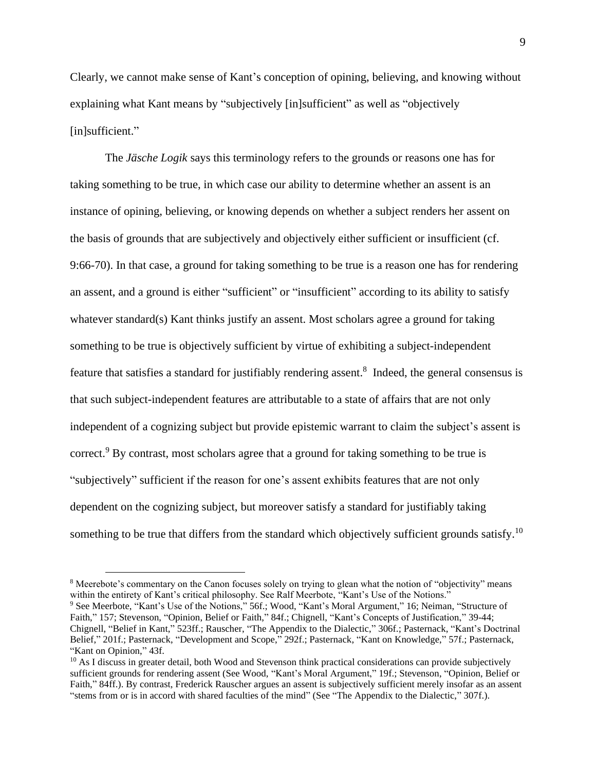Clearly, we cannot make sense of Kant's conception of opining, believing, and knowing without explaining what Kant means by "subjectively [in]sufficient" as well as "objectively [in]sufficient."

The *Jäsche Logik* says this terminology refers to the grounds or reasons one has for taking something to be true, in which case our ability to determine whether an assent is an instance of opining, believing, or knowing depends on whether a subject renders her assent on the basis of grounds that are subjectively and objectively either sufficient or insufficient (cf. 9:66-70). In that case, a ground for taking something to be true is a reason one has for rendering an assent, and a ground is either "sufficient" or "insufficient" according to its ability to satisfy whatever standard(s) Kant thinks justify an assent. Most scholars agree a ground for taking something to be true is objectively sufficient by virtue of exhibiting a subject-independent feature that satisfies a standard for justifiably rendering assent.<sup>8</sup> Indeed, the general consensus is that such subject-independent features are attributable to a state of affairs that are not only independent of a cognizing subject but provide epistemic warrant to claim the subject's assent is correct.<sup>9</sup> By contrast, most scholars agree that a ground for taking something to be true is "subjectively" sufficient if the reason for one's assent exhibits features that are not only dependent on the cognizing subject, but moreover satisfy a standard for justifiably taking something to be true that differs from the standard which objectively sufficient grounds satisfy.<sup>10</sup>

<sup>8</sup> Meerebote's commentary on the Canon focuses solely on trying to glean what the notion of "objectivity" means within the entirety of Kant's critical philosophy. See Ralf Meerbote, "Kant's Use of the Notions."

<sup>&</sup>lt;sup>9</sup> See Meerbote, "Kant's Use of the Notions," 56f.; Wood, "Kant's Moral Argument," 16; Neiman, "Structure of Faith," 157; Stevenson, "Opinion, Belief or Faith," 84f.; Chignell, "Kant's Concepts of Justification," 39-44; Chignell, "Belief in Kant," 523ff.; Rauscher, "The Appendix to the Dialectic," 306f.; Pasternack, "Kant's Doctrinal Belief," 201f.; Pasternack, "Development and Scope," 292f.; Pasternack, "Kant on Knowledge," 57f.; Pasternack, "Kant on Opinion," 43f.

<sup>&</sup>lt;sup>10</sup> As I discuss in greater detail, both Wood and Stevenson think practical considerations can provide subjectively sufficient grounds for rendering assent (See Wood, "Kant's Moral Argument," 19f.; Stevenson, "Opinion, Belief or Faith," 84ff.). By contrast, Frederick Rauscher argues an assent is subjectively sufficient merely insofar as an assent "stems from or is in accord with shared faculties of the mind" (See "The Appendix to the Dialectic," 307f.).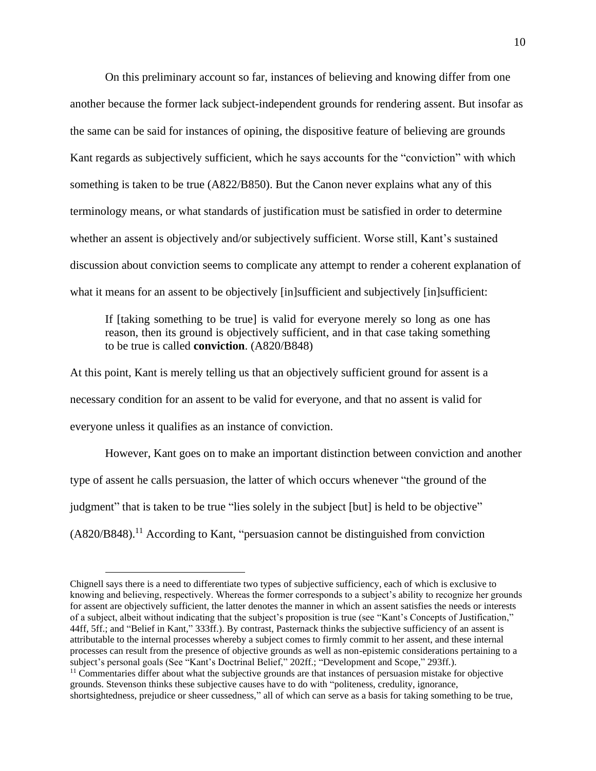On this preliminary account so far, instances of believing and knowing differ from one another because the former lack subject-independent grounds for rendering assent. But insofar as the same can be said for instances of opining, the dispositive feature of believing are grounds Kant regards as subjectively sufficient, which he says accounts for the "conviction" with which something is taken to be true (A822/B850). But the Canon never explains what any of this terminology means, or what standards of justification must be satisfied in order to determine whether an assent is objectively and/or subjectively sufficient. Worse still, Kant's sustained discussion about conviction seems to complicate any attempt to render a coherent explanation of what it means for an assent to be objectively [in]sufficient and subjectively [in]sufficient:

If [taking something to be true] is valid for everyone merely so long as one has reason, then its ground is objectively sufficient, and in that case taking something to be true is called **conviction**. (A820/B848)

At this point, Kant is merely telling us that an objectively sufficient ground for assent is a necessary condition for an assent to be valid for everyone, and that no assent is valid for everyone unless it qualifies as an instance of conviction.

However, Kant goes on to make an important distinction between conviction and another type of assent he calls persuasion, the latter of which occurs whenever "the ground of the judgment" that is taken to be true "lies solely in the subject [but] is held to be objective" (A820/B848).<sup>11</sup> According to Kant, "persuasion cannot be distinguished from conviction

Chignell says there is a need to differentiate two types of subjective sufficiency, each of which is exclusive to knowing and believing, respectively. Whereas the former corresponds to a subject's ability to recognize her grounds for assent are objectively sufficient, the latter denotes the manner in which an assent satisfies the needs or interests of a subject, albeit without indicating that the subject's proposition is true (see "Kant's Concepts of Justification," 44ff, 5ff.; and "Belief in Kant," 333ff.). By contrast, Pasternack thinks the subjective sufficiency of an assent is attributable to the internal processes whereby a subject comes to firmly commit to her assent, and these internal processes can result from the presence of objective grounds as well as non-epistemic considerations pertaining to a subject's personal goals (See "Kant's Doctrinal Belief," 202ff.; "Development and Scope," 293ff.).

 $<sup>11</sup>$  Commentaries differ about what the subjective grounds are that instances of persuasion mistake for objective</sup> grounds. Stevenson thinks these subjective causes have to do with "politeness, credulity, ignorance, shortsightedness, prejudice or sheer cussedness," all of which can serve as a basis for taking something to be true,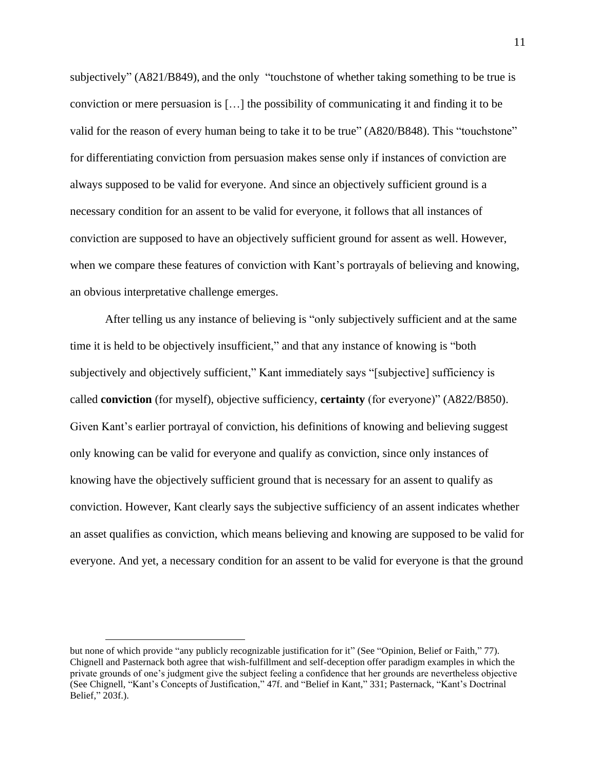subjectively" (A821/B849), and the only "touchstone of whether taking something to be true is conviction or mere persuasion is […] the possibility of communicating it and finding it to be valid for the reason of every human being to take it to be true" (A820/B848). This "touchstone" for differentiating conviction from persuasion makes sense only if instances of conviction are always supposed to be valid for everyone. And since an objectively sufficient ground is a necessary condition for an assent to be valid for everyone, it follows that all instances of conviction are supposed to have an objectively sufficient ground for assent as well. However, when we compare these features of conviction with Kant's portrayals of believing and knowing, an obvious interpretative challenge emerges.

After telling us any instance of believing is "only subjectively sufficient and at the same time it is held to be objectively insufficient," and that any instance of knowing is "both subjectively and objectively sufficient," Kant immediately says "[subjective] sufficiency is called **conviction** (for myself), objective sufficiency, **certainty** (for everyone)" (A822/B850). Given Kant's earlier portrayal of conviction, his definitions of knowing and believing suggest only knowing can be valid for everyone and qualify as conviction, since only instances of knowing have the objectively sufficient ground that is necessary for an assent to qualify as conviction. However, Kant clearly says the subjective sufficiency of an assent indicates whether an asset qualifies as conviction, which means believing and knowing are supposed to be valid for everyone. And yet, a necessary condition for an assent to be valid for everyone is that the ground

but none of which provide "any publicly recognizable justification for it" (See "Opinion, Belief or Faith," 77). Chignell and Pasternack both agree that wish-fulfillment and self-deception offer paradigm examples in which the private grounds of one's judgment give the subject feeling a confidence that her grounds are nevertheless objective (See Chignell, "Kant's Concepts of Justification," 47f. and "Belief in Kant," 331; Pasternack, "Kant's Doctrinal Belief," 203f.).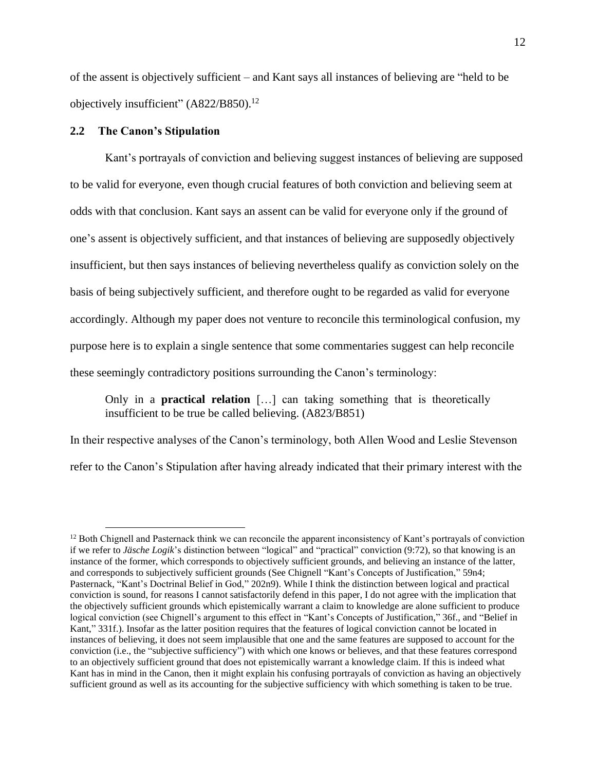of the assent is objectively sufficient – and Kant says all instances of believing are "held to be objectively insufficient" (A822/B850).<sup>12</sup>

#### <span id="page-20-0"></span>**2.2 The Canon's Stipulation**

Kant's portrayals of conviction and believing suggest instances of believing are supposed to be valid for everyone, even though crucial features of both conviction and believing seem at odds with that conclusion. Kant says an assent can be valid for everyone only if the ground of one's assent is objectively sufficient, and that instances of believing are supposedly objectively insufficient, but then says instances of believing nevertheless qualify as conviction solely on the basis of being subjectively sufficient, and therefore ought to be regarded as valid for everyone accordingly. Although my paper does not venture to reconcile this terminological confusion, my purpose here is to explain a single sentence that some commentaries suggest can help reconcile these seemingly contradictory positions surrounding the Canon's terminology:

Only in a **practical relation** […] can taking something that is theoretically insufficient to be true be called believing. (A823/B851)

In their respective analyses of the Canon's terminology, both Allen Wood and Leslie Stevenson refer to the Canon's Stipulation after having already indicated that their primary interest with the

<sup>&</sup>lt;sup>12</sup> Both Chignell and Pasternack think we can reconcile the apparent inconsistency of Kant's portrayals of conviction if we refer to *Jäsche Logik*'s distinction between "logical" and "practical" conviction (9:72), so that knowing is an instance of the former, which corresponds to objectively sufficient grounds, and believing an instance of the latter, and corresponds to subjectively sufficient grounds (See Chignell "Kant's Concepts of Justification," 59n4; Pasternack, "Kant's Doctrinal Belief in God," 202n9). While I think the distinction between logical and practical conviction is sound, for reasons I cannot satisfactorily defend in this paper, I do not agree with the implication that the objectively sufficient grounds which epistemically warrant a claim to knowledge are alone sufficient to produce logical conviction (see Chignell's argument to this effect in "Kant's Concepts of Justification," 36f., and "Belief in Kant," 331f.). Insofar as the latter position requires that the features of logical conviction cannot be located in instances of believing, it does not seem implausible that one and the same features are supposed to account for the conviction (i.e., the "subjective sufficiency") with which one knows or believes, and that these features correspond to an objectively sufficient ground that does not epistemically warrant a knowledge claim. If this is indeed what Kant has in mind in the Canon, then it might explain his confusing portrayals of conviction as having an objectively sufficient ground as well as its accounting for the subjective sufficiency with which something is taken to be true.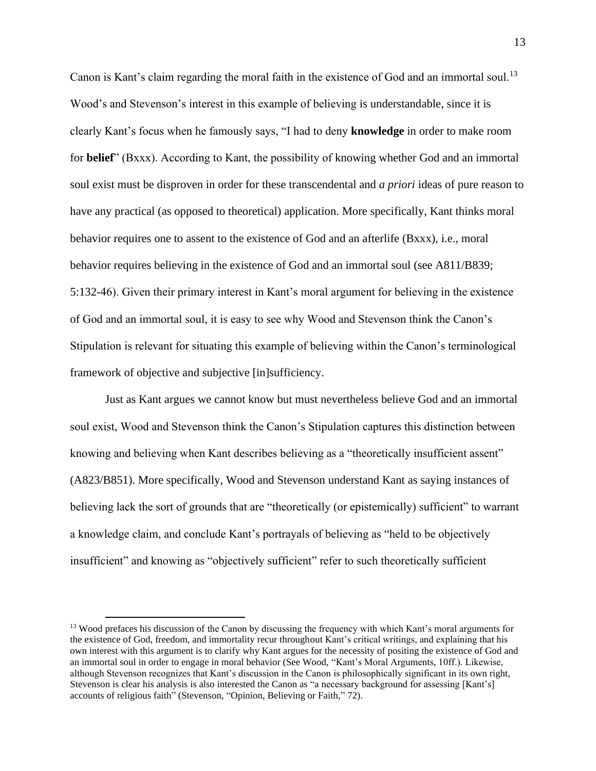Canon is Kant's claim regarding the moral faith in the existence of God and an immortal soul.<sup>13</sup> Wood's and Stevenson's interest in this example of believing is understandable, since it is clearly Kant's focus when he famously says, "I had to deny **knowledge** in order to make room for **belief**" (Bxxx). According to Kant, the possibility of knowing whether God and an immortal soul exist must be disproven in order for these transcendental and *a priori* ideas of pure reason to have any practical (as opposed to theoretical) application. More specifically, Kant thinks moral behavior requires one to assent to the existence of God and an afterlife (Bxxx), i.e., moral behavior requires believing in the existence of God and an immortal soul (see A811/B839; 5:132-46). Given their primary interest in Kant's moral argument for believing in the existence of God and an immortal soul, it is easy to see why Wood and Stevenson think the Canon's Stipulation is relevant for situating this example of believing within the Canon's terminological framework of objective and subjective [in]sufficiency.

Just as Kant argues we cannot know but must nevertheless believe God and an immortal soul exist, Wood and Stevenson think the Canon's Stipulation captures this distinction between knowing and believing when Kant describes believing as a "theoretically insufficient assent" (A823/B851). More specifically, Wood and Stevenson understand Kant as saying instances of believing lack the sort of grounds that are "theoretically (or epistemically) sufficient" to warrant a knowledge claim, and conclude Kant's portrayals of believing as "held to be objectively insufficient" and knowing as "objectively sufficient" refer to such theoretically sufficient

<sup>&</sup>lt;sup>13</sup> Wood prefaces his discussion of the Canon by discussing the frequency with which Kant's moral arguments for the existence of God, freedom, and immortality recur throughout Kant's critical writings, and explaining that his own interest with this argument is to clarify why Kant argues for the necessity of positing the existence of God and an immortal soul in order to engage in moral behavior (See Wood, "Kant's Moral Arguments, 10ff.). Likewise, although Stevenson recognizes that Kant's discussion in the Canon is philosophically significant in its own right, Stevenson is clear his analysis is also interested the Canon as "a necessary background for assessing [Kant's] accounts of religious faith" (Stevenson, "Opinion, Believing or Faith," 72).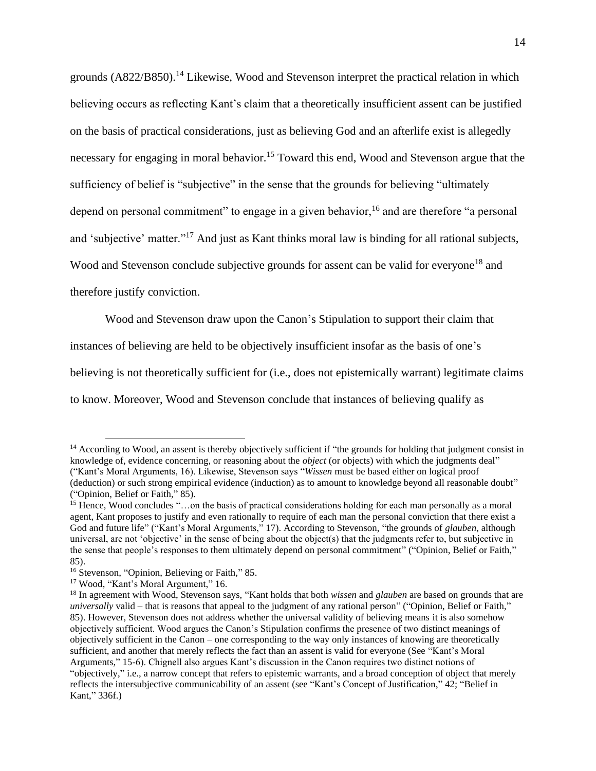grounds (A822/B850).<sup>14</sup> Likewise, Wood and Stevenson interpret the practical relation in which believing occurs as reflecting Kant's claim that a theoretically insufficient assent can be justified on the basis of practical considerations, just as believing God and an afterlife exist is allegedly necessary for engaging in moral behavior.<sup>15</sup> Toward this end, Wood and Stevenson argue that the sufficiency of belief is "subjective" in the sense that the grounds for believing "ultimately depend on personal commitment" to engage in a given behavior,  $16$  and are therefore "a personal and 'subjective' matter."<sup>17</sup> And just as Kant thinks moral law is binding for all rational subjects, Wood and Stevenson conclude subjective grounds for assent can be valid for everyone<sup>18</sup> and therefore justify conviction.

Wood and Stevenson draw upon the Canon's Stipulation to support their claim that

instances of believing are held to be objectively insufficient insofar as the basis of one's

believing is not theoretically sufficient for (i.e., does not epistemically warrant) legitimate claims

to know. Moreover, Wood and Stevenson conclude that instances of believing qualify as

 $14$  According to Wood, an assent is thereby objectively sufficient if "the grounds for holding that judgment consist in knowledge of, evidence concerning, or reasoning about the *object* (or objects) with which the judgments deal" ("Kant's Moral Arguments, 16). Likewise, Stevenson says "*Wissen* must be based either on logical proof (deduction) or such strong empirical evidence (induction) as to amount to knowledge beyond all reasonable doubt" ("Opinion, Belief or Faith," 85).

<sup>&</sup>lt;sup>15</sup> Hence, Wood concludes "...on the basis of practical considerations holding for each man personally as a moral agent, Kant proposes to justify and even rationally to require of each man the personal conviction that there exist a God and future life" ("Kant's Moral Arguments," 17). According to Stevenson, "the grounds of *glauben*, although universal, are not 'objective' in the sense of being about the object(s) that the judgments refer to, but subjective in the sense that people's responses to them ultimately depend on personal commitment" ("Opinion, Belief or Faith," 85).

<sup>&</sup>lt;sup>16</sup> Stevenson, "Opinion, Believing or Faith," 85.

<sup>17</sup> Wood, "Kant's Moral Argument," 16.

<sup>18</sup> In agreement with Wood, Stevenson says, "Kant holds that both *wissen* and *glauben* are based on grounds that are *universally* valid – that is reasons that appeal to the judgment of any rational person" ("Opinion, Belief or Faith," 85). However, Stevenson does not address whether the universal validity of believing means it is also somehow objectively sufficient. Wood argues the Canon's Stipulation confirms the presence of two distinct meanings of objectively sufficient in the Canon – one corresponding to the way only instances of knowing are theoretically sufficient, and another that merely reflects the fact than an assent is valid for everyone (See "Kant's Moral Arguments," 15-6). Chignell also argues Kant's discussion in the Canon requires two distinct notions of "objectively," i.e., a narrow concept that refers to epistemic warrants, and a broad conception of object that merely reflects the intersubjective communicability of an assent (see "Kant's Concept of Justification," 42; "Belief in Kant," 336f.)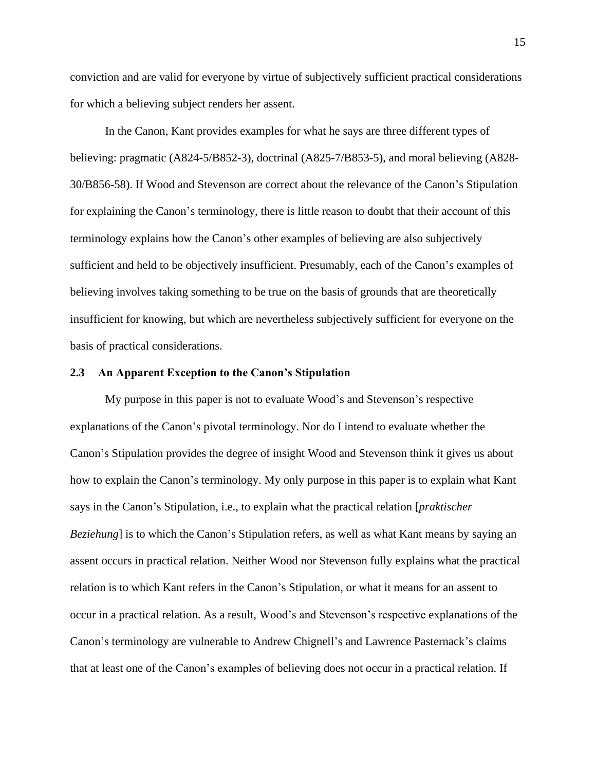conviction and are valid for everyone by virtue of subjectively sufficient practical considerations for which a believing subject renders her assent.

In the Canon, Kant provides examples for what he says are three different types of believing: pragmatic (A824-5/B852-3), doctrinal (A825-7/B853-5), and moral believing (A828- 30/B856-58). If Wood and Stevenson are correct about the relevance of the Canon's Stipulation for explaining the Canon's terminology, there is little reason to doubt that their account of this terminology explains how the Canon's other examples of believing are also subjectively sufficient and held to be objectively insufficient. Presumably, each of the Canon's examples of believing involves taking something to be true on the basis of grounds that are theoretically insufficient for knowing, but which are nevertheless subjectively sufficient for everyone on the basis of practical considerations.

#### <span id="page-23-0"></span>**2.3 An Apparent Exception to the Canon's Stipulation**

My purpose in this paper is not to evaluate Wood's and Stevenson's respective explanations of the Canon's pivotal terminology. Nor do I intend to evaluate whether the Canon's Stipulation provides the degree of insight Wood and Stevenson think it gives us about how to explain the Canon's terminology. My only purpose in this paper is to explain what Kant says in the Canon's Stipulation, i.e., to explain what the practical relation [*praktischer Beziehung*] is to which the Canon's Stipulation refers, as well as what Kant means by saying an assent occurs in practical relation. Neither Wood nor Stevenson fully explains what the practical relation is to which Kant refers in the Canon's Stipulation, or what it means for an assent to occur in a practical relation. As a result, Wood's and Stevenson's respective explanations of the Canon's terminology are vulnerable to Andrew Chignell's and Lawrence Pasternack's claims that at least one of the Canon's examples of believing does not occur in a practical relation. If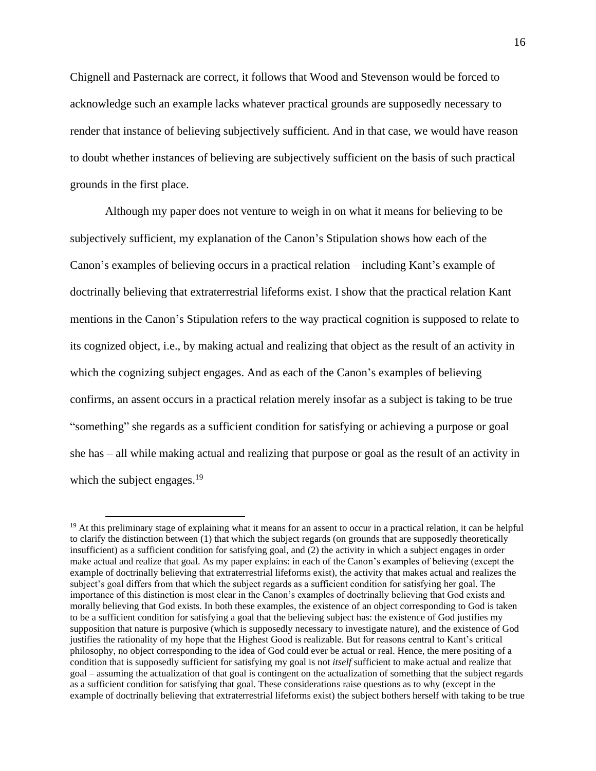Chignell and Pasternack are correct, it follows that Wood and Stevenson would be forced to acknowledge such an example lacks whatever practical grounds are supposedly necessary to render that instance of believing subjectively sufficient. And in that case, we would have reason to doubt whether instances of believing are subjectively sufficient on the basis of such practical grounds in the first place.

Although my paper does not venture to weigh in on what it means for believing to be subjectively sufficient, my explanation of the Canon's Stipulation shows how each of the Canon's examples of believing occurs in a practical relation – including Kant's example of doctrinally believing that extraterrestrial lifeforms exist. I show that the practical relation Kant mentions in the Canon's Stipulation refers to the way practical cognition is supposed to relate to its cognized object, i.e., by making actual and realizing that object as the result of an activity in which the cognizing subject engages. And as each of the Canon's examples of believing confirms, an assent occurs in a practical relation merely insofar as a subject is taking to be true "something" she regards as a sufficient condition for satisfying or achieving a purpose or goal she has – all while making actual and realizing that purpose or goal as the result of an activity in which the subject engages.<sup>19</sup>

 $19$  At this preliminary stage of explaining what it means for an assent to occur in a practical relation, it can be helpful to clarify the distinction between (1) that which the subject regards (on grounds that are supposedly theoretically insufficient) as a sufficient condition for satisfying goal, and (2) the activity in which a subject engages in order make actual and realize that goal. As my paper explains: in each of the Canon's examples of believing (except the example of doctrinally believing that extraterrestrial lifeforms exist), the activity that makes actual and realizes the subject's goal differs from that which the subject regards as a sufficient condition for satisfying her goal. The importance of this distinction is most clear in the Canon's examples of doctrinally believing that God exists and morally believing that God exists. In both these examples, the existence of an object corresponding to God is taken to be a sufficient condition for satisfying a goal that the believing subject has: the existence of God justifies my supposition that nature is purposive (which is supposedly necessary to investigate nature), and the existence of God justifies the rationality of my hope that the Highest Good is realizable. But for reasons central to Kant's critical philosophy, no object corresponding to the idea of God could ever be actual or real. Hence, the mere positing of a condition that is supposedly sufficient for satisfying my goal is not *itself* sufficient to make actual and realize that goal – assuming the actualization of that goal is contingent on the actualization of something that the subject regards as a sufficient condition for satisfying that goal. These considerations raise questions as to why (except in the example of doctrinally believing that extraterrestrial lifeforms exist) the subject bothers herself with taking to be true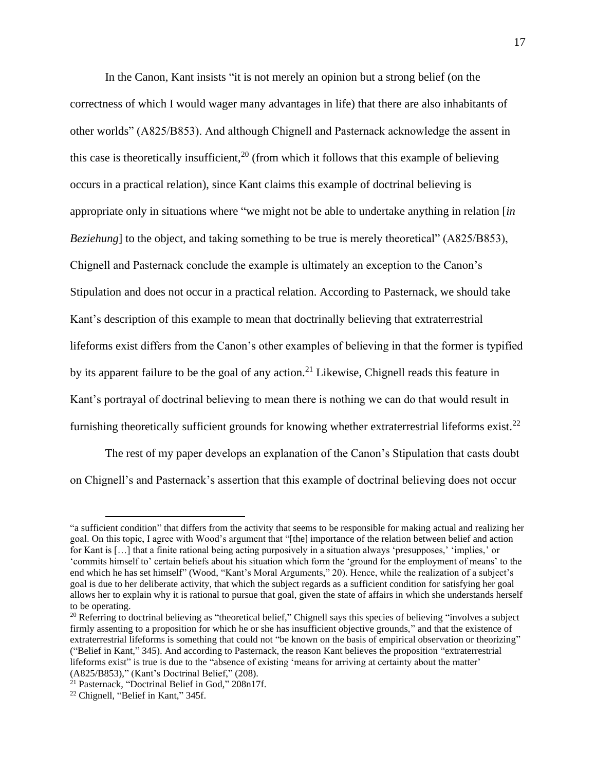In the Canon, Kant insists "it is not merely an opinion but a strong belief (on the correctness of which I would wager many advantages in life) that there are also inhabitants of other worlds" (A825/B853). And although Chignell and Pasternack acknowledge the assent in this case is theoretically insufficient,  $2^{0}$  (from which it follows that this example of believing occurs in a practical relation), since Kant claims this example of doctrinal believing is appropriate only in situations where "we might not be able to undertake anything in relation [*in Beziehung*] to the object, and taking something to be true is merely theoretical" (A825/B853), Chignell and Pasternack conclude the example is ultimately an exception to the Canon's Stipulation and does not occur in a practical relation. According to Pasternack, we should take Kant's description of this example to mean that doctrinally believing that extraterrestrial lifeforms exist differs from the Canon's other examples of believing in that the former is typified by its apparent failure to be the goal of any action.<sup>21</sup> Likewise, Chignell reads this feature in Kant's portrayal of doctrinal believing to mean there is nothing we can do that would result in furnishing theoretically sufficient grounds for knowing whether extraterrestrial lifeforms exist.<sup>22</sup>

The rest of my paper develops an explanation of the Canon's Stipulation that casts doubt on Chignell's and Pasternack's assertion that this example of doctrinal believing does not occur

<sup>&</sup>quot;a sufficient condition" that differs from the activity that seems to be responsible for making actual and realizing her goal. On this topic, I agree with Wood's argument that "[the] importance of the relation between belief and action for Kant is […] that a finite rational being acting purposively in a situation always 'presupposes,' 'implies,' or 'commits himself to' certain beliefs about his situation which form the 'ground for the employment of means' to the end which he has set himself" (Wood, "Kant's Moral Arguments," 20). Hence, while the realization of a subject's goal is due to her deliberate activity, that which the subject regards as a sufficient condition for satisfying her goal allows her to explain why it is rational to pursue that goal, given the state of affairs in which she understands herself to be operating.

 $20$  Referring to doctrinal believing as "theoretical belief," Chignell says this species of believing "involves a subject firmly assenting to a proposition for which he or she has insufficient objective grounds," and that the existence of extraterrestrial lifeforms is something that could not "be known on the basis of empirical observation or theorizing" ("Belief in Kant," 345). And according to Pasternack, the reason Kant believes the proposition "extraterrestrial lifeforms exist" is true is due to the "absence of existing 'means for arriving at certainty about the matter' (A825/B853)," (Kant's Doctrinal Belief," (208).

<sup>&</sup>lt;sup>21</sup> Pasternack, "Doctrinal Belief in God," 208n17f.

<sup>22</sup> Chignell, "Belief in Kant," 345f.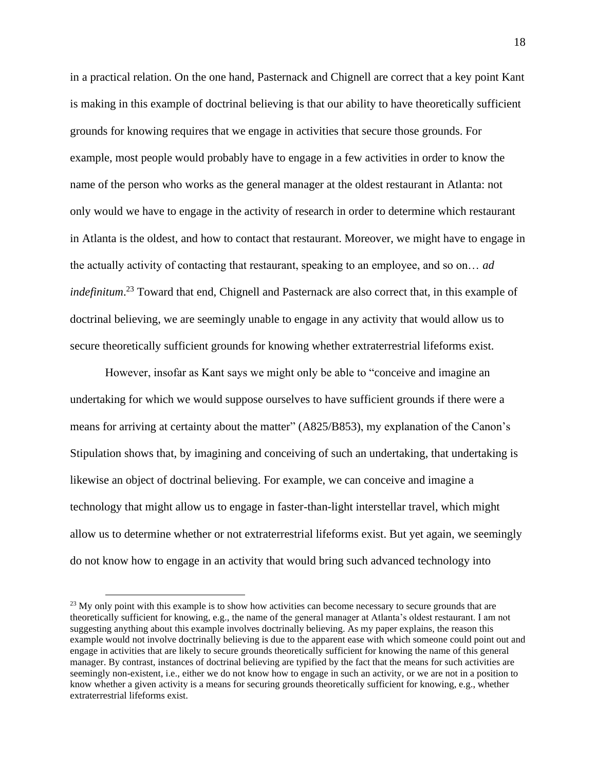in a practical relation. On the one hand, Pasternack and Chignell are correct that a key point Kant is making in this example of doctrinal believing is that our ability to have theoretically sufficient grounds for knowing requires that we engage in activities that secure those grounds. For example, most people would probably have to engage in a few activities in order to know the name of the person who works as the general manager at the oldest restaurant in Atlanta: not only would we have to engage in the activity of research in order to determine which restaurant in Atlanta is the oldest, and how to contact that restaurant. Moreover, we might have to engage in the actually activity of contacting that restaurant, speaking to an employee, and so on… *ad indefinitum*. <sup>23</sup> Toward that end, Chignell and Pasternack are also correct that, in this example of doctrinal believing, we are seemingly unable to engage in any activity that would allow us to secure theoretically sufficient grounds for knowing whether extraterrestrial lifeforms exist.

However, insofar as Kant says we might only be able to "conceive and imagine an undertaking for which we would suppose ourselves to have sufficient grounds if there were a means for arriving at certainty about the matter" (A825/B853), my explanation of the Canon's Stipulation shows that, by imagining and conceiving of such an undertaking, that undertaking is likewise an object of doctrinal believing. For example, we can conceive and imagine a technology that might allow us to engage in faster-than-light interstellar travel, which might allow us to determine whether or not extraterrestrial lifeforms exist. But yet again, we seemingly do not know how to engage in an activity that would bring such advanced technology into

<sup>&</sup>lt;sup>23</sup> My only point with this example is to show how activities can become necessary to secure grounds that are theoretically sufficient for knowing, e.g., the name of the general manager at Atlanta's oldest restaurant. I am not suggesting anything about this example involves doctrinally believing. As my paper explains, the reason this example would not involve doctrinally believing is due to the apparent ease with which someone could point out and engage in activities that are likely to secure grounds theoretically sufficient for knowing the name of this general manager. By contrast, instances of doctrinal believing are typified by the fact that the means for such activities are seemingly non-existent, i.e., either we do not know how to engage in such an activity, or we are not in a position to know whether a given activity is a means for securing grounds theoretically sufficient for knowing, e.g., whether extraterrestrial lifeforms exist.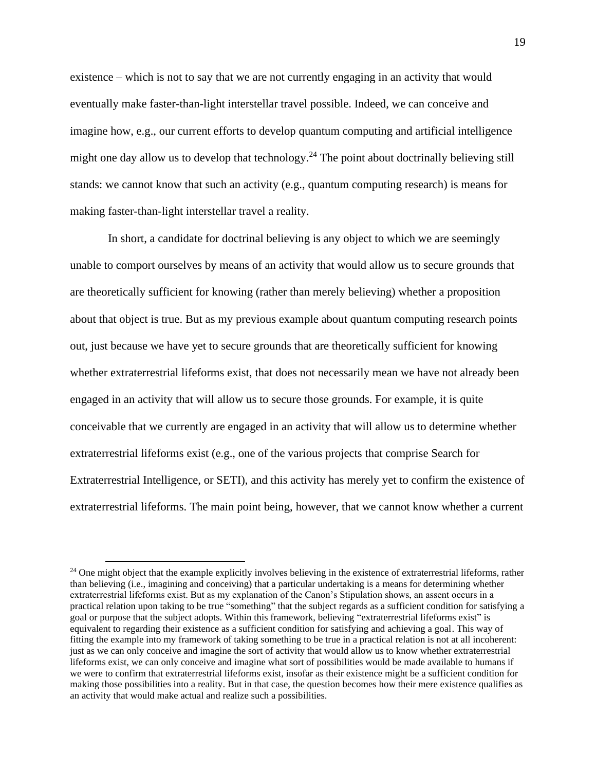existence – which is not to say that we are not currently engaging in an activity that would eventually make faster-than-light interstellar travel possible. Indeed, we can conceive and imagine how, e.g., our current efforts to develop quantum computing and artificial intelligence might one day allow us to develop that technology.<sup>24</sup> The point about doctrinally believing still stands: we cannot know that such an activity (e.g., quantum computing research) is means for making faster-than-light interstellar travel a reality.

In short, a candidate for doctrinal believing is any object to which we are seemingly unable to comport ourselves by means of an activity that would allow us to secure grounds that are theoretically sufficient for knowing (rather than merely believing) whether a proposition about that object is true. But as my previous example about quantum computing research points out, just because we have yet to secure grounds that are theoretically sufficient for knowing whether extraterrestrial lifeforms exist, that does not necessarily mean we have not already been engaged in an activity that will allow us to secure those grounds. For example, it is quite conceivable that we currently are engaged in an activity that will allow us to determine whether extraterrestrial lifeforms exist (e.g., one of the various projects that comprise Search for Extraterrestrial Intelligence, or SETI), and this activity has merely yet to confirm the existence of extraterrestrial lifeforms. The main point being, however, that we cannot know whether a current

<sup>&</sup>lt;sup>24</sup> One might object that the example explicitly involves believing in the existence of extraterrestrial lifeforms, rather than believing (i.e., imagining and conceiving) that a particular undertaking is a means for determining whether extraterrestrial lifeforms exist. But as my explanation of the Canon's Stipulation shows, an assent occurs in a practical relation upon taking to be true "something" that the subject regards as a sufficient condition for satisfying a goal or purpose that the subject adopts. Within this framework, believing "extraterrestrial lifeforms exist" is equivalent to regarding their existence as a sufficient condition for satisfying and achieving a goal. This way of fitting the example into my framework of taking something to be true in a practical relation is not at all incoherent: just as we can only conceive and imagine the sort of activity that would allow us to know whether extraterrestrial lifeforms exist, we can only conceive and imagine what sort of possibilities would be made available to humans if we were to confirm that extraterrestrial lifeforms exist, insofar as their existence might be a sufficient condition for making those possibilities into a reality. But in that case, the question becomes how their mere existence qualifies as an activity that would make actual and realize such a possibilities.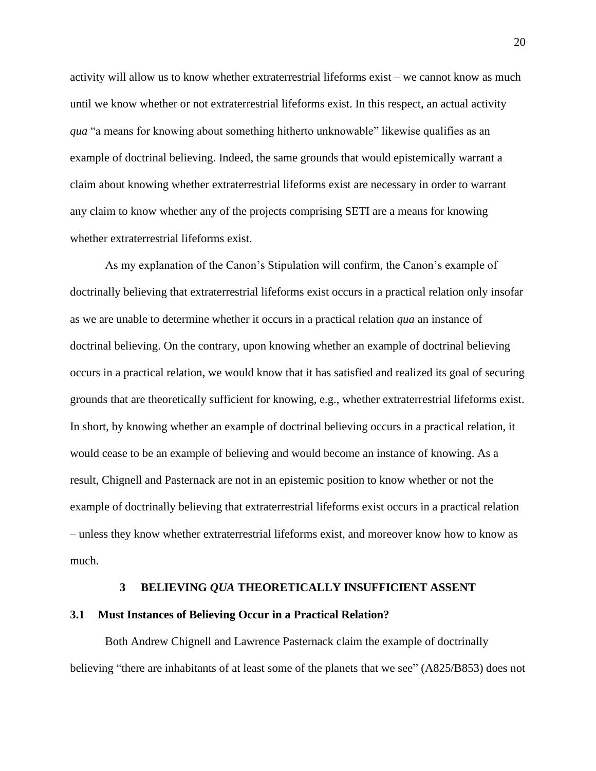activity will allow us to know whether extraterrestrial lifeforms exist – we cannot know as much until we know whether or not extraterrestrial lifeforms exist. In this respect, an actual activity *qua* "a means for knowing about something hitherto unknowable" likewise qualifies as an example of doctrinal believing. Indeed, the same grounds that would epistemically warrant a claim about knowing whether extraterrestrial lifeforms exist are necessary in order to warrant any claim to know whether any of the projects comprising SETI are a means for knowing whether extraterrestrial lifeforms exist.

As my explanation of the Canon's Stipulation will confirm, the Canon's example of doctrinally believing that extraterrestrial lifeforms exist occurs in a practical relation only insofar as we are unable to determine whether it occurs in a practical relation *qua* an instance of doctrinal believing. On the contrary, upon knowing whether an example of doctrinal believing occurs in a practical relation, we would know that it has satisfied and realized its goal of securing grounds that are theoretically sufficient for knowing, e.g., whether extraterrestrial lifeforms exist. In short, by knowing whether an example of doctrinal believing occurs in a practical relation, it would cease to be an example of believing and would become an instance of knowing. As a result, Chignell and Pasternack are not in an epistemic position to know whether or not the example of doctrinally believing that extraterrestrial lifeforms exist occurs in a practical relation – unless they know whether extraterrestrial lifeforms exist, and moreover know how to know as much.

#### **3 BELIEVING** *QUA* **THEORETICALLY INSUFFICIENT ASSENT**

#### <span id="page-28-1"></span><span id="page-28-0"></span>**3.1 Must Instances of Believing Occur in a Practical Relation?**

Both Andrew Chignell and Lawrence Pasternack claim the example of doctrinally believing "there are inhabitants of at least some of the planets that we see" (A825/B853) does not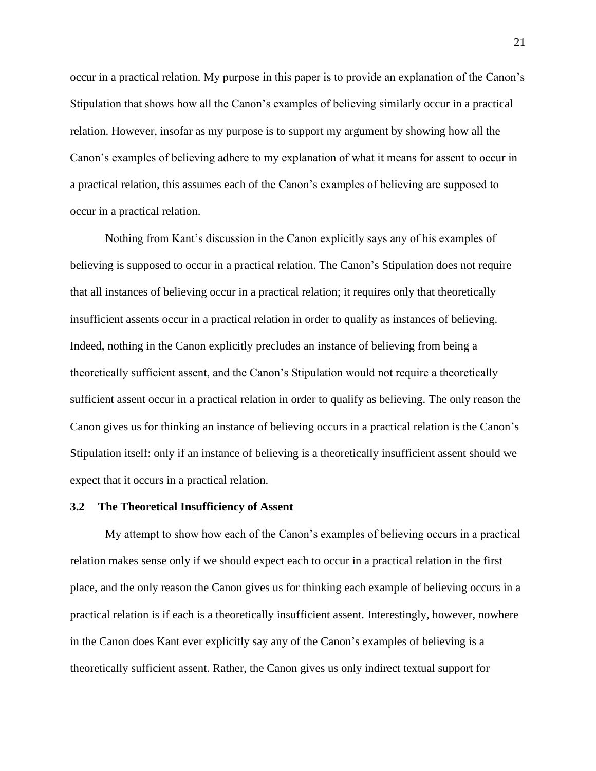occur in a practical relation. My purpose in this paper is to provide an explanation of the Canon's Stipulation that shows how all the Canon's examples of believing similarly occur in a practical relation. However, insofar as my purpose is to support my argument by showing how all the Canon's examples of believing adhere to my explanation of what it means for assent to occur in a practical relation, this assumes each of the Canon's examples of believing are supposed to occur in a practical relation.

Nothing from Kant's discussion in the Canon explicitly says any of his examples of believing is supposed to occur in a practical relation. The Canon's Stipulation does not require that all instances of believing occur in a practical relation; it requires only that theoretically insufficient assents occur in a practical relation in order to qualify as instances of believing. Indeed, nothing in the Canon explicitly precludes an instance of believing from being a theoretically sufficient assent, and the Canon's Stipulation would not require a theoretically sufficient assent occur in a practical relation in order to qualify as believing. The only reason the Canon gives us for thinking an instance of believing occurs in a practical relation is the Canon's Stipulation itself: only if an instance of believing is a theoretically insufficient assent should we expect that it occurs in a practical relation.

#### <span id="page-29-0"></span>**3.2 The Theoretical Insufficiency of Assent**

My attempt to show how each of the Canon's examples of believing occurs in a practical relation makes sense only if we should expect each to occur in a practical relation in the first place, and the only reason the Canon gives us for thinking each example of believing occurs in a practical relation is if each is a theoretically insufficient assent. Interestingly, however, nowhere in the Canon does Kant ever explicitly say any of the Canon's examples of believing is a theoretically sufficient assent. Rather, the Canon gives us only indirect textual support for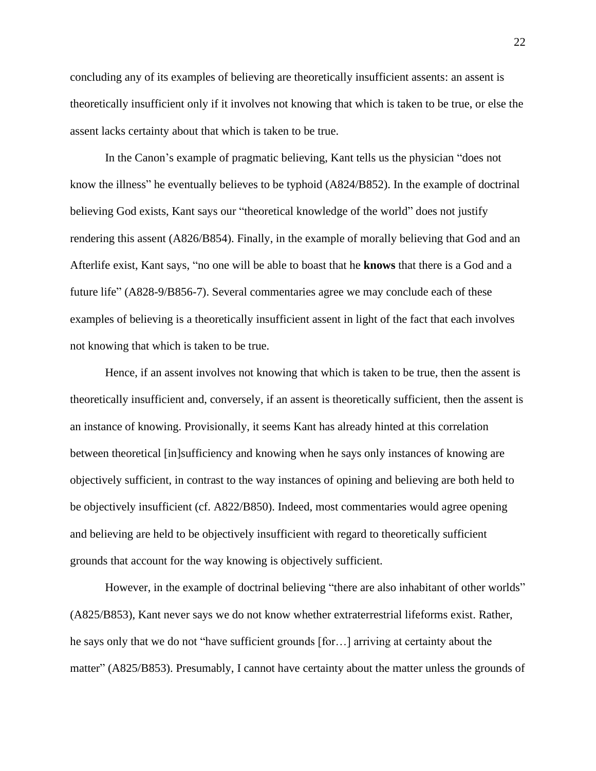concluding any of its examples of believing are theoretically insufficient assents: an assent is theoretically insufficient only if it involves not knowing that which is taken to be true, or else the assent lacks certainty about that which is taken to be true.

In the Canon's example of pragmatic believing, Kant tells us the physician "does not know the illness" he eventually believes to be typhoid (A824/B852). In the example of doctrinal believing God exists, Kant says our "theoretical knowledge of the world" does not justify rendering this assent (A826/B854). Finally, in the example of morally believing that God and an Afterlife exist, Kant says, "no one will be able to boast that he **knows** that there is a God and a future life" (A828-9/B856-7). Several commentaries agree we may conclude each of these examples of believing is a theoretically insufficient assent in light of the fact that each involves not knowing that which is taken to be true.

Hence, if an assent involves not knowing that which is taken to be true, then the assent is theoretically insufficient and, conversely, if an assent is theoretically sufficient, then the assent is an instance of knowing. Provisionally, it seems Kant has already hinted at this correlation between theoretical [in]sufficiency and knowing when he says only instances of knowing are objectively sufficient, in contrast to the way instances of opining and believing are both held to be objectively insufficient (cf. A822/B850). Indeed, most commentaries would agree opening and believing are held to be objectively insufficient with regard to theoretically sufficient grounds that account for the way knowing is objectively sufficient.

However, in the example of doctrinal believing "there are also inhabitant of other worlds" (A825/B853), Kant never says we do not know whether extraterrestrial lifeforms exist. Rather, he says only that we do not "have sufficient grounds [for…] arriving at certainty about the matter" (A825/B853). Presumably, I cannot have certainty about the matter unless the grounds of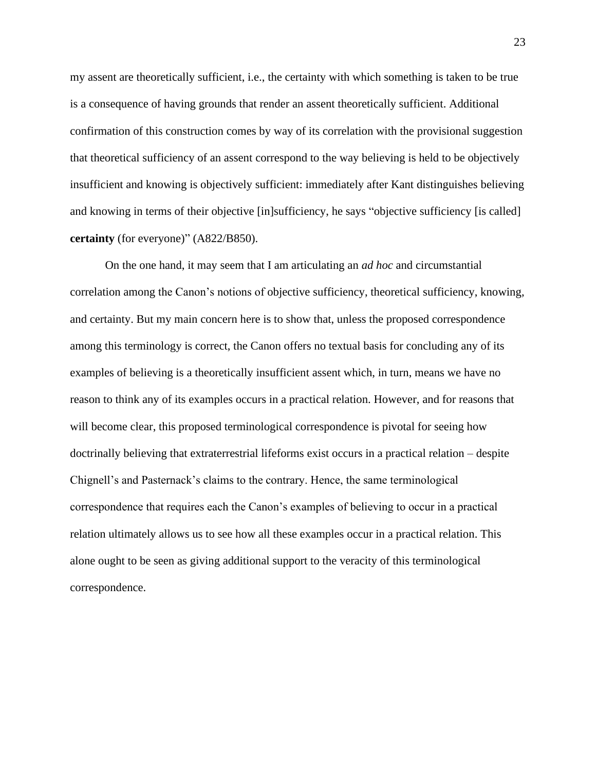my assent are theoretically sufficient, i.e., the certainty with which something is taken to be true is a consequence of having grounds that render an assent theoretically sufficient. Additional confirmation of this construction comes by way of its correlation with the provisional suggestion that theoretical sufficiency of an assent correspond to the way believing is held to be objectively insufficient and knowing is objectively sufficient: immediately after Kant distinguishes believing and knowing in terms of their objective [in]sufficiency, he says "objective sufficiency [is called] **certainty** (for everyone)" (A822/B850).

On the one hand, it may seem that I am articulating an *ad hoc* and circumstantial correlation among the Canon's notions of objective sufficiency, theoretical sufficiency, knowing, and certainty. But my main concern here is to show that, unless the proposed correspondence among this terminology is correct, the Canon offers no textual basis for concluding any of its examples of believing is a theoretically insufficient assent which, in turn, means we have no reason to think any of its examples occurs in a practical relation. However, and for reasons that will become clear, this proposed terminological correspondence is pivotal for seeing how doctrinally believing that extraterrestrial lifeforms exist occurs in a practical relation – despite Chignell's and Pasternack's claims to the contrary. Hence, the same terminological correspondence that requires each the Canon's examples of believing to occur in a practical relation ultimately allows us to see how all these examples occur in a practical relation. This alone ought to be seen as giving additional support to the veracity of this terminological correspondence.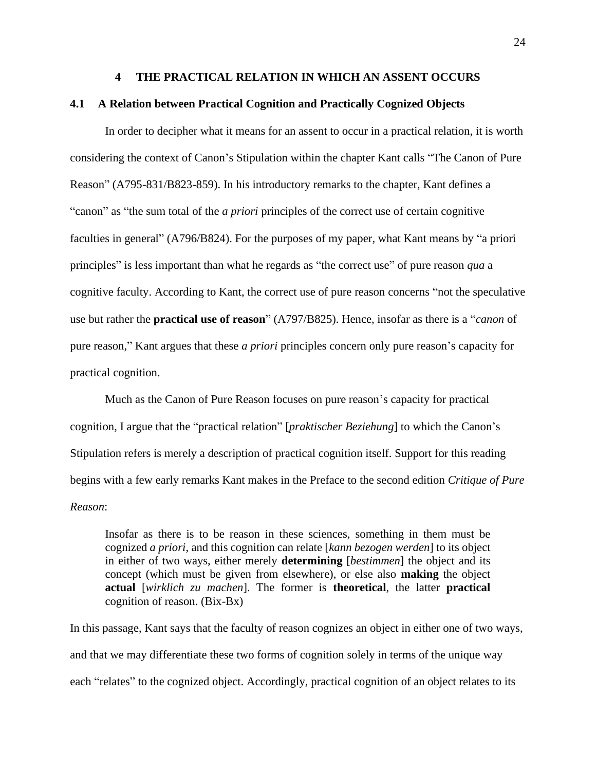#### **4 THE PRACTICAL RELATION IN WHICH AN ASSENT OCCURS**

#### <span id="page-32-1"></span><span id="page-32-0"></span>**4.1 A Relation between Practical Cognition and Practically Cognized Objects**

In order to decipher what it means for an assent to occur in a practical relation, it is worth considering the context of Canon's Stipulation within the chapter Kant calls "The Canon of Pure Reason" (A795-831/B823-859). In his introductory remarks to the chapter, Kant defines a "canon" as "the sum total of the *a priori* principles of the correct use of certain cognitive faculties in general" (A796/B824). For the purposes of my paper, what Kant means by "a priori principles" is less important than what he regards as "the correct use" of pure reason *qua* a cognitive faculty. According to Kant, the correct use of pure reason concerns "not the speculative use but rather the **practical use of reason**" (A797/B825). Hence, insofar as there is a "*canon* of pure reason," Kant argues that these *a priori* principles concern only pure reason's capacity for practical cognition.

Much as the Canon of Pure Reason focuses on pure reason's capacity for practical cognition, I argue that the "practical relation" [*praktischer Beziehung*] to which the Canon's Stipulation refers is merely a description of practical cognition itself. Support for this reading begins with a few early remarks Kant makes in the Preface to the second edition *Critique of Pure Reason*:

Insofar as there is to be reason in these sciences, something in them must be cognized *a priori*, and this cognition can relate [*kann bezogen werden*] to its object in either of two ways, either merely **determining** [*bestimmen*] the object and its concept (which must be given from elsewhere), or else also **making** the object **actual** [*wirklich zu machen*]. The former is **theoretical**, the latter **practical**  cognition of reason. (Bix-Bx)

In this passage, Kant says that the faculty of reason cognizes an object in either one of two ways, and that we may differentiate these two forms of cognition solely in terms of the unique way each "relates" to the cognized object. Accordingly, practical cognition of an object relates to its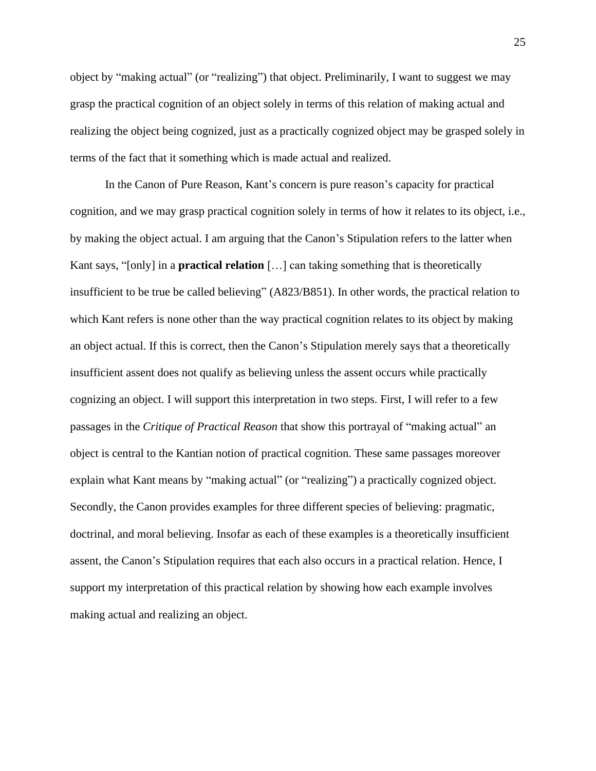object by "making actual" (or "realizing") that object. Preliminarily, I want to suggest we may grasp the practical cognition of an object solely in terms of this relation of making actual and realizing the object being cognized, just as a practically cognized object may be grasped solely in terms of the fact that it something which is made actual and realized.

In the Canon of Pure Reason, Kant's concern is pure reason's capacity for practical cognition, and we may grasp practical cognition solely in terms of how it relates to its object, i.e., by making the object actual. I am arguing that the Canon's Stipulation refers to the latter when Kant says, "[only] in a **practical relation** […] can taking something that is theoretically insufficient to be true be called believing" (A823/B851). In other words, the practical relation to which Kant refers is none other than the way practical cognition relates to its object by making an object actual. If this is correct, then the Canon's Stipulation merely says that a theoretically insufficient assent does not qualify as believing unless the assent occurs while practically cognizing an object. I will support this interpretation in two steps. First, I will refer to a few passages in the *Critique of Practical Reason* that show this portrayal of "making actual" an object is central to the Kantian notion of practical cognition. These same passages moreover explain what Kant means by "making actual" (or "realizing") a practically cognized object. Secondly, the Canon provides examples for three different species of believing: pragmatic, doctrinal, and moral believing. Insofar as each of these examples is a theoretically insufficient assent, the Canon's Stipulation requires that each also occurs in a practical relation. Hence, I support my interpretation of this practical relation by showing how each example involves making actual and realizing an object.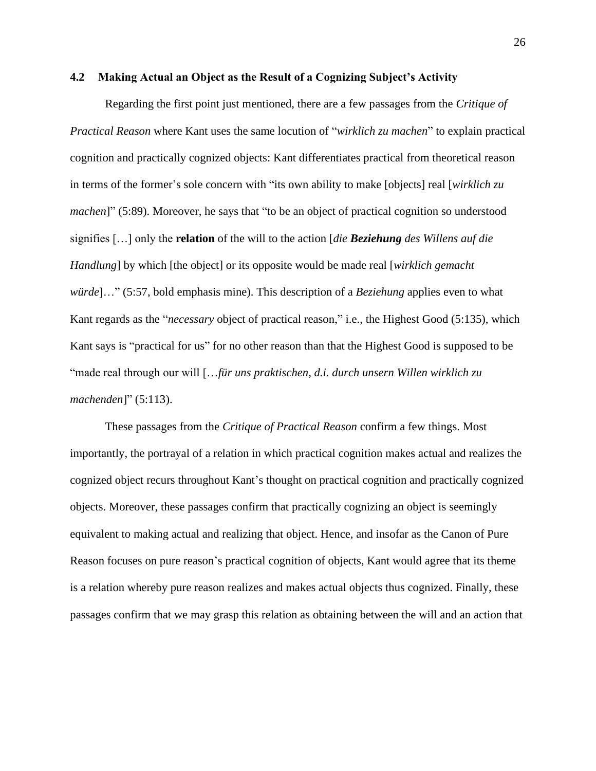#### <span id="page-34-0"></span>**4.2 Making Actual an Object as the Result of a Cognizing Subject's Activity**

Regarding the first point just mentioned, there are a few passages from the *Critique of Practical Reason* where Kant uses the same locution of "*wirklich zu machen*" to explain practical cognition and practically cognized objects: Kant differentiates practical from theoretical reason in terms of the former's sole concern with "its own ability to make [objects] real [*wirklich zu machen*]" (5:89). Moreover, he says that "to be an object of practical cognition so understood signifies […] only the **relation** of the will to the action [*die Beziehung des Willens auf die Handlung*] by which [the object] or its opposite would be made real [*wirklich gemacht würde*]…" (5:57, bold emphasis mine). This description of a *Beziehung* applies even to what Kant regards as the "*necessary* object of practical reason," i.e., the Highest Good (5:135), which Kant says is "practical for us" for no other reason than that the Highest Good is supposed to be "made real through our will […*für uns praktischen, d.i. durch unsern Willen wirklich zu machenden*]" (5:113).

These passages from the *Critique of Practical Reason* confirm a few things. Most importantly, the portrayal of a relation in which practical cognition makes actual and realizes the cognized object recurs throughout Kant's thought on practical cognition and practically cognized objects. Moreover, these passages confirm that practically cognizing an object is seemingly equivalent to making actual and realizing that object. Hence, and insofar as the Canon of Pure Reason focuses on pure reason's practical cognition of objects, Kant would agree that its theme is a relation whereby pure reason realizes and makes actual objects thus cognized. Finally, these passages confirm that we may grasp this relation as obtaining between the will and an action that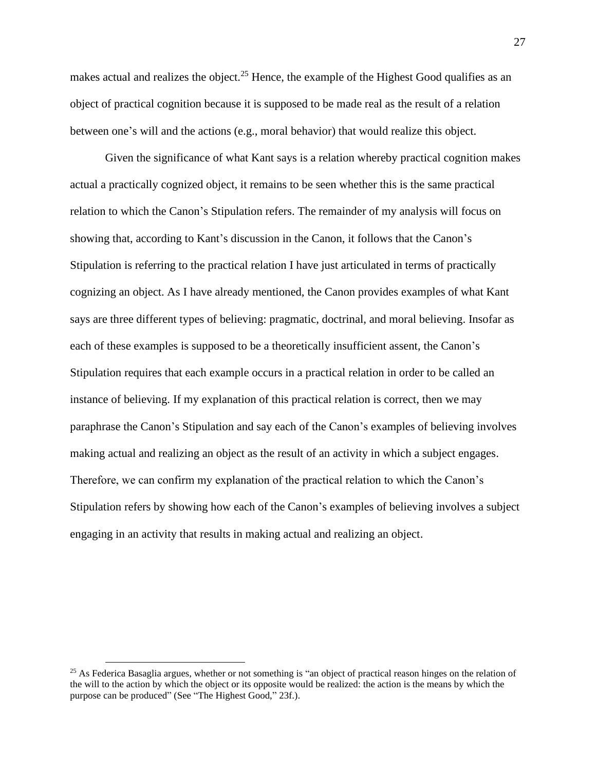makes actual and realizes the object.<sup>25</sup> Hence, the example of the Highest Good qualifies as an object of practical cognition because it is supposed to be made real as the result of a relation between one's will and the actions (e.g., moral behavior) that would realize this object.

Given the significance of what Kant says is a relation whereby practical cognition makes actual a practically cognized object, it remains to be seen whether this is the same practical relation to which the Canon's Stipulation refers. The remainder of my analysis will focus on showing that, according to Kant's discussion in the Canon, it follows that the Canon's Stipulation is referring to the practical relation I have just articulated in terms of practically cognizing an object. As I have already mentioned, the Canon provides examples of what Kant says are three different types of believing: pragmatic, doctrinal, and moral believing. Insofar as each of these examples is supposed to be a theoretically insufficient assent, the Canon's Stipulation requires that each example occurs in a practical relation in order to be called an instance of believing. If my explanation of this practical relation is correct, then we may paraphrase the Canon's Stipulation and say each of the Canon's examples of believing involves making actual and realizing an object as the result of an activity in which a subject engages. Therefore, we can confirm my explanation of the practical relation to which the Canon's Stipulation refers by showing how each of the Canon's examples of believing involves a subject engaging in an activity that results in making actual and realizing an object.

<sup>&</sup>lt;sup>25</sup> As Federica Basaglia argues, whether or not something is "an object of practical reason hinges on the relation of the will to the action by which the object or its opposite would be realized: the action is the means by which the purpose can be produced" (See "The Highest Good," 23f.).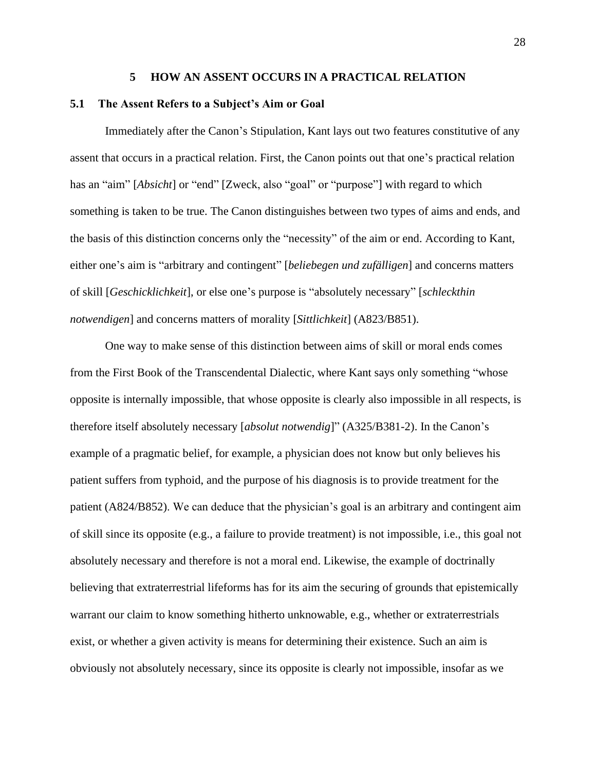#### **5 HOW AN ASSENT OCCURS IN A PRACTICAL RELATION**

#### <span id="page-36-1"></span><span id="page-36-0"></span>**5.1 The Assent Refers to a Subject's Aim or Goal**

Immediately after the Canon's Stipulation, Kant lays out two features constitutive of any assent that occurs in a practical relation. First, the Canon points out that one's practical relation has an "aim" [*Absicht*] or "end" [Zweck, also "goal" or "purpose"] with regard to which something is taken to be true. The Canon distinguishes between two types of aims and ends, and the basis of this distinction concerns only the "necessity" of the aim or end. According to Kant, either one's aim is "arbitrary and contingent" [*beliebegen und zufälligen*] and concerns matters of skill [*Geschicklichkeit*], or else one's purpose is "absolutely necessary" [*schleckthin notwendigen*] and concerns matters of morality [*Sittlichkeit*] (A823/B851).

One way to make sense of this distinction between aims of skill or moral ends comes from the First Book of the Transcendental Dialectic, where Kant says only something "whose opposite is internally impossible, that whose opposite is clearly also impossible in all respects, is therefore itself absolutely necessary [*absolut notwendig*]" (A325/B381-2). In the Canon's example of a pragmatic belief, for example, a physician does not know but only believes his patient suffers from typhoid, and the purpose of his diagnosis is to provide treatment for the patient (A824/B852). We can deduce that the physician's goal is an arbitrary and contingent aim of skill since its opposite (e.g., a failure to provide treatment) is not impossible, i.e., this goal not absolutely necessary and therefore is not a moral end. Likewise, the example of doctrinally believing that extraterrestrial lifeforms has for its aim the securing of grounds that epistemically warrant our claim to know something hitherto unknowable, e.g., whether or extraterrestrials exist, or whether a given activity is means for determining their existence. Such an aim is obviously not absolutely necessary, since its opposite is clearly not impossible, insofar as we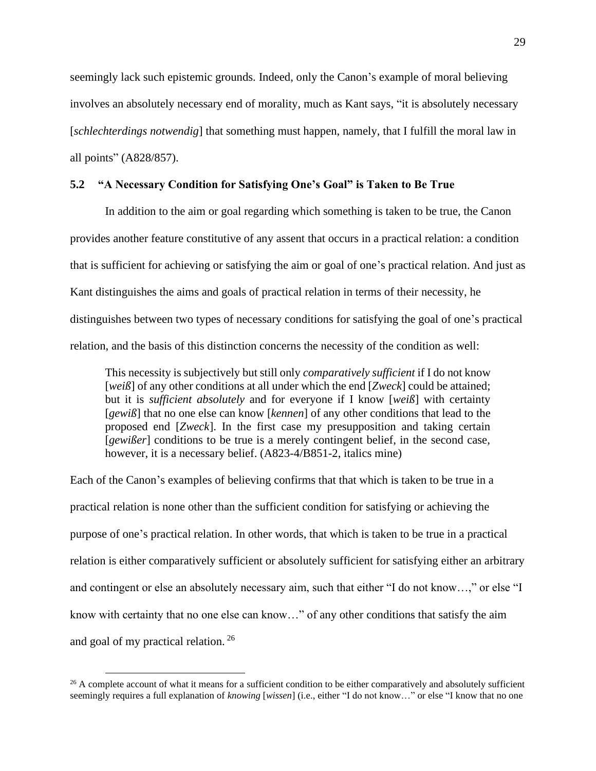seemingly lack such epistemic grounds. Indeed, only the Canon's example of moral believing involves an absolutely necessary end of morality, much as Kant says, "it is absolutely necessary [*schlechterdings notwendig*] that something must happen, namely, that I fulfill the moral law in all points" (A828/857).

## <span id="page-37-0"></span>**5.2 "A Necessary Condition for Satisfying One's Goal" is Taken to Be True**

In addition to the aim or goal regarding which something is taken to be true, the Canon provides another feature constitutive of any assent that occurs in a practical relation: a condition that is sufficient for achieving or satisfying the aim or goal of one's practical relation. And just as Kant distinguishes the aims and goals of practical relation in terms of their necessity, he distinguishes between two types of necessary conditions for satisfying the goal of one's practical relation, and the basis of this distinction concerns the necessity of the condition as well:

This necessity is subjectively but still only *comparatively sufficient* if I do not know [*weiß*] of any other conditions at all under which the end [*Zweck*] could be attained; but it is *sufficient absolutely* and for everyone if I know [*weiß*] with certainty [*gewiß*] that no one else can know [*kennen*] of any other conditions that lead to the proposed end [*Zweck*]. In the first case my presupposition and taking certain [*gewißer*] conditions to be true is a merely contingent belief, in the second case, however, it is a necessary belief. (A823-4/B851-2, italics mine)

Each of the Canon's examples of believing confirms that that which is taken to be true in a practical relation is none other than the sufficient condition for satisfying or achieving the purpose of one's practical relation. In other words, that which is taken to be true in a practical relation is either comparatively sufficient or absolutely sufficient for satisfying either an arbitrary and contingent or else an absolutely necessary aim, such that either "I do not know…," or else "I know with certainty that no one else can know…" of any other conditions that satisfy the aim and goal of my practical relation. <sup>26</sup>

<sup>&</sup>lt;sup>26</sup> A complete account of what it means for a sufficient condition to be either comparatively and absolutely sufficient seemingly requires a full explanation of *knowing* [*wissen*] (i.e., either "I do not know…" or else "I know that no one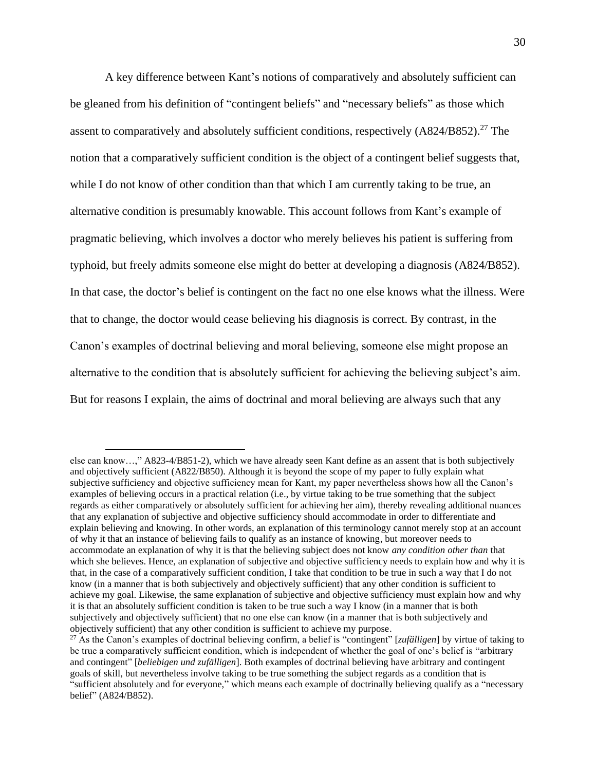A key difference between Kant's notions of comparatively and absolutely sufficient can be gleaned from his definition of "contingent beliefs" and "necessary beliefs" as those which assent to comparatively and absolutely sufficient conditions, respectively  $(A824/B852).^{27}$  The notion that a comparatively sufficient condition is the object of a contingent belief suggests that, while I do not know of other condition than that which I am currently taking to be true, an alternative condition is presumably knowable. This account follows from Kant's example of pragmatic believing, which involves a doctor who merely believes his patient is suffering from typhoid, but freely admits someone else might do better at developing a diagnosis (A824/B852). In that case, the doctor's belief is contingent on the fact no one else knows what the illness. Were that to change, the doctor would cease believing his diagnosis is correct. By contrast, in the Canon's examples of doctrinal believing and moral believing, someone else might propose an alternative to the condition that is absolutely sufficient for achieving the believing subject's aim. But for reasons I explain, the aims of doctrinal and moral believing are always such that any

else can know…," A823-4/B851-2), which we have already seen Kant define as an assent that is both subjectively and objectively sufficient (A822/B850). Although it is beyond the scope of my paper to fully explain what subjective sufficiency and objective sufficiency mean for Kant, my paper nevertheless shows how all the Canon's examples of believing occurs in a practical relation (i.e., by virtue taking to be true something that the subject regards as either comparatively or absolutely sufficient for achieving her aim), thereby revealing additional nuances that any explanation of subjective and objective sufficiency should accommodate in order to differentiate and explain believing and knowing. In other words, an explanation of this terminology cannot merely stop at an account of why it that an instance of believing fails to qualify as an instance of knowing, but moreover needs to accommodate an explanation of why it is that the believing subject does not know *any condition other than* that which she believes. Hence, an explanation of subjective and objective sufficiency needs to explain how and why it is that, in the case of a comparatively sufficient condition, I take that condition to be true in such a way that I do not know (in a manner that is both subjectively and objectively sufficient) that any other condition is sufficient to achieve my goal. Likewise, the same explanation of subjective and objective sufficiency must explain how and why it is that an absolutely sufficient condition is taken to be true such a way I know (in a manner that is both subjectively and objectively sufficient) that no one else can know (in a manner that is both subjectively and objectively sufficient) that any other condition is sufficient to achieve my purpose.

<sup>27</sup> As the Canon's examples of doctrinal believing confirm, a belief is "contingent" [*zufälligen*] by virtue of taking to be true a comparatively sufficient condition, which is independent of whether the goal of one's belief is "arbitrary and contingent" [*beliebigen und zufälligen*]. Both examples of doctrinal believing have arbitrary and contingent goals of skill, but nevertheless involve taking to be true something the subject regards as a condition that is "sufficient absolutely and for everyone," which means each example of doctrinally believing qualify as a "necessary belief" (A824/B852).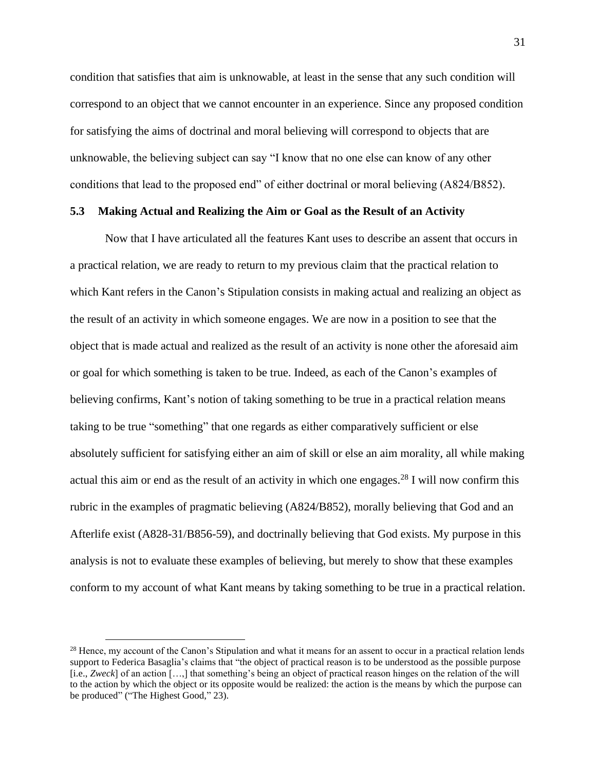condition that satisfies that aim is unknowable, at least in the sense that any such condition will correspond to an object that we cannot encounter in an experience. Since any proposed condition for satisfying the aims of doctrinal and moral believing will correspond to objects that are unknowable, the believing subject can say "I know that no one else can know of any other conditions that lead to the proposed end" of either doctrinal or moral believing (A824/B852).

### <span id="page-39-0"></span>**5.3 Making Actual and Realizing the Aim or Goal as the Result of an Activity**

Now that I have articulated all the features Kant uses to describe an assent that occurs in a practical relation, we are ready to return to my previous claim that the practical relation to which Kant refers in the Canon's Stipulation consists in making actual and realizing an object as the result of an activity in which someone engages. We are now in a position to see that the object that is made actual and realized as the result of an activity is none other the aforesaid aim or goal for which something is taken to be true. Indeed, as each of the Canon's examples of believing confirms, Kant's notion of taking something to be true in a practical relation means taking to be true "something" that one regards as either comparatively sufficient or else absolutely sufficient for satisfying either an aim of skill or else an aim morality, all while making actual this aim or end as the result of an activity in which one engages.<sup>28</sup> I will now confirm this rubric in the examples of pragmatic believing (A824/B852), morally believing that God and an Afterlife exist (A828-31/B856-59), and doctrinally believing that God exists. My purpose in this analysis is not to evaluate these examples of believing, but merely to show that these examples conform to my account of what Kant means by taking something to be true in a practical relation.

 $28$  Hence, my account of the Canon's Stipulation and what it means for an assent to occur in a practical relation lends support to Federica Basaglia's claims that "the object of practical reason is to be understood as the possible purpose [i.e., *Zweck*] of an action […,] that something's being an object of practical reason hinges on the relation of the will to the action by which the object or its opposite would be realized: the action is the means by which the purpose can be produced" ("The Highest Good," 23).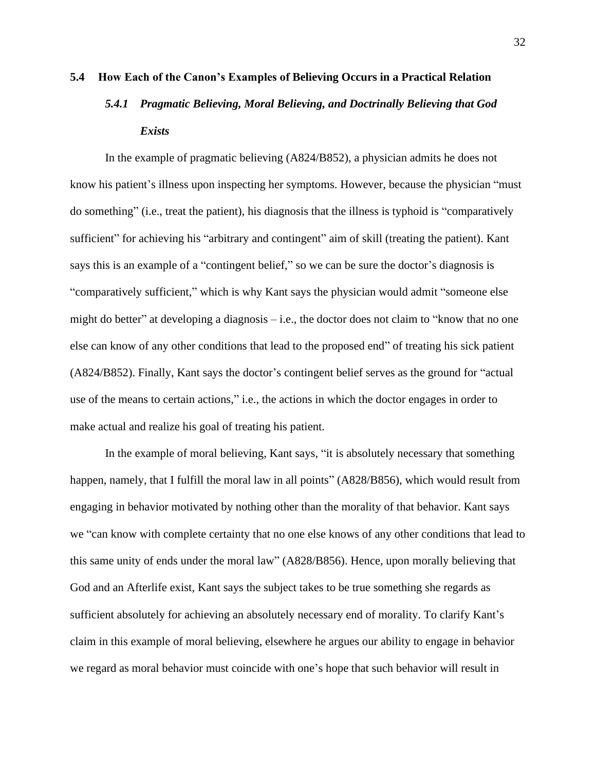# <span id="page-40-1"></span><span id="page-40-0"></span>**5.4 How Each of the Canon's Examples of Believing Occurs in a Practical Relation** *5.4.1 Pragmatic Believing, Moral Believing, and Doctrinally Believing that God Exists*

In the example of pragmatic believing (A824/B852), a physician admits he does not know his patient's illness upon inspecting her symptoms. However, because the physician "must do something" (i.e., treat the patient), his diagnosis that the illness is typhoid is "comparatively sufficient" for achieving his "arbitrary and contingent" aim of skill (treating the patient). Kant says this is an example of a "contingent belief," so we can be sure the doctor's diagnosis is "comparatively sufficient," which is why Kant says the physician would admit "someone else might do better" at developing a diagnosis – i.e., the doctor does not claim to "know that no one else can know of any other conditions that lead to the proposed end" of treating his sick patient (A824/B852). Finally, Kant says the doctor's contingent belief serves as the ground for "actual use of the means to certain actions," i.e., the actions in which the doctor engages in order to make actual and realize his goal of treating his patient.

In the example of moral believing, Kant says, "it is absolutely necessary that something happen, namely, that I fulfill the moral law in all points" (A828/B856), which would result from engaging in behavior motivated by nothing other than the morality of that behavior. Kant says we "can know with complete certainty that no one else knows of any other conditions that lead to this same unity of ends under the moral law" (A828/B856). Hence, upon morally believing that God and an Afterlife exist, Kant says the subject takes to be true something she regards as sufficient absolutely for achieving an absolutely necessary end of morality. To clarify Kant's claim in this example of moral believing, elsewhere he argues our ability to engage in behavior we regard as moral behavior must coincide with one's hope that such behavior will result in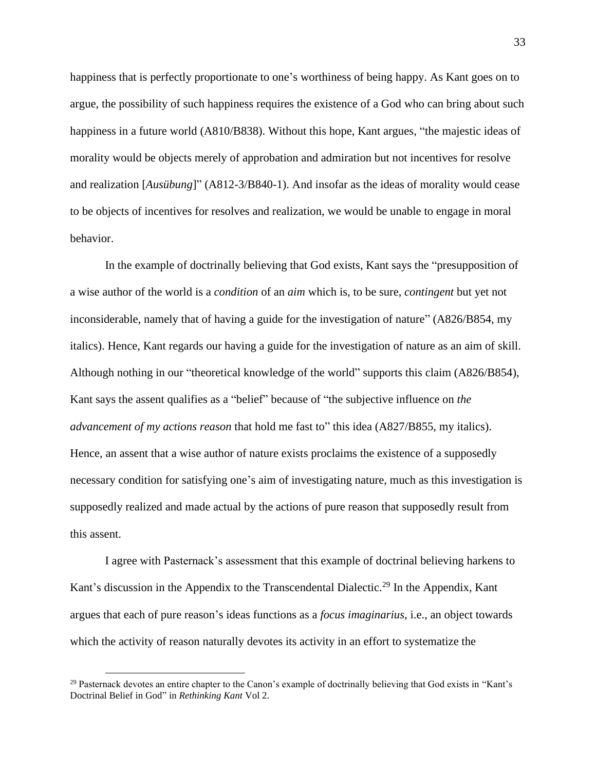happiness that is perfectly proportionate to one's worthiness of being happy. As Kant goes on to argue, the possibility of such happiness requires the existence of a God who can bring about such happiness in a future world (A810/B838). Without this hope, Kant argues, "the majestic ideas of morality would be objects merely of approbation and admiration but not incentives for resolve and realization [*Ausübung*]" (A812-3/B840-1). And insofar as the ideas of morality would cease to be objects of incentives for resolves and realization, we would be unable to engage in moral behavior.

In the example of doctrinally believing that God exists, Kant says the "presupposition of a wise author of the world is a *condition* of an *aim* which is, to be sure, *contingent* but yet not inconsiderable, namely that of having a guide for the investigation of nature" (A826/B854, my italics). Hence, Kant regards our having a guide for the investigation of nature as an aim of skill. Although nothing in our "theoretical knowledge of the world" supports this claim (A826/B854), Kant says the assent qualifies as a "belief" because of "the subjective influence on *the advancement of my actions reason* that hold me fast to" this idea (A827/B855, my italics). Hence, an assent that a wise author of nature exists proclaims the existence of a supposedly necessary condition for satisfying one's aim of investigating nature, much as this investigation is supposedly realized and made actual by the actions of pure reason that supposedly result from this assent.

I agree with Pasternack's assessment that this example of doctrinal believing harkens to Kant's discussion in the Appendix to the Transcendental Dialectic.<sup>29</sup> In the Appendix, Kant argues that each of pure reason's ideas functions as a *focus imaginarius*, i.e., an object towards which the activity of reason naturally devotes its activity in an effort to systematize the

<sup>&</sup>lt;sup>29</sup> Pasternack devotes an entire chapter to the Canon's example of doctrinally believing that God exists in "Kant's Doctrinal Belief in God" in *Rethinking Kant* Vol 2.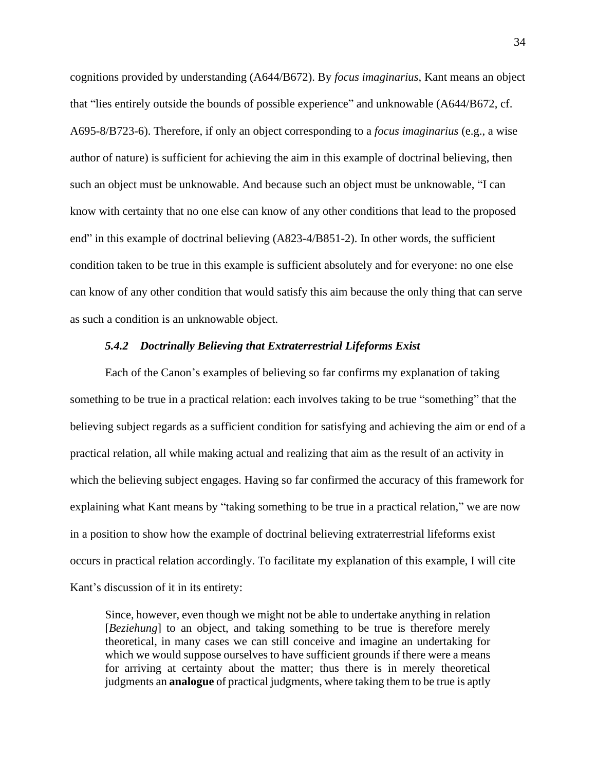cognitions provided by understanding (A644/B672). By *focus imaginarius*, Kant means an object that "lies entirely outside the bounds of possible experience" and unknowable (A644/B672, cf. A695-8/B723-6). Therefore, if only an object corresponding to a *focus imaginarius* (e.g., a wise author of nature) is sufficient for achieving the aim in this example of doctrinal believing, then such an object must be unknowable. And because such an object must be unknowable, "I can know with certainty that no one else can know of any other conditions that lead to the proposed end" in this example of doctrinal believing (A823-4/B851-2). In other words, the sufficient condition taken to be true in this example is sufficient absolutely and for everyone: no one else can know of any other condition that would satisfy this aim because the only thing that can serve as such a condition is an unknowable object.

#### *5.4.2 Doctrinally Believing that Extraterrestrial Lifeforms Exist*

<span id="page-42-0"></span>Each of the Canon's examples of believing so far confirms my explanation of taking something to be true in a practical relation: each involves taking to be true "something" that the believing subject regards as a sufficient condition for satisfying and achieving the aim or end of a practical relation, all while making actual and realizing that aim as the result of an activity in which the believing subject engages. Having so far confirmed the accuracy of this framework for explaining what Kant means by "taking something to be true in a practical relation," we are now in a position to show how the example of doctrinal believing extraterrestrial lifeforms exist occurs in practical relation accordingly. To facilitate my explanation of this example, I will cite Kant's discussion of it in its entirety:

Since, however, even though we might not be able to undertake anything in relation [*Beziehung*] to an object, and taking something to be true is therefore merely theoretical, in many cases we can still conceive and imagine an undertaking for which we would suppose ourselves to have sufficient grounds if there were a means for arriving at certainty about the matter; thus there is in merely theoretical judgments an **analogue** of practical judgments, where taking them to be true is aptly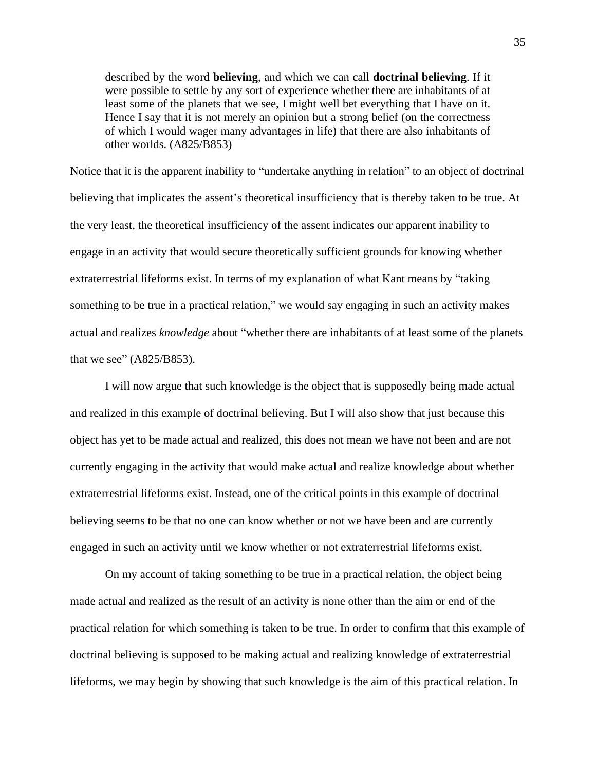described by the word **believing**, and which we can call **doctrinal believing**. If it were possible to settle by any sort of experience whether there are inhabitants of at least some of the planets that we see, I might well bet everything that I have on it. Hence I say that it is not merely an opinion but a strong belief (on the correctness of which I would wager many advantages in life) that there are also inhabitants of other worlds. (A825/B853)

Notice that it is the apparent inability to "undertake anything in relation" to an object of doctrinal believing that implicates the assent's theoretical insufficiency that is thereby taken to be true. At the very least, the theoretical insufficiency of the assent indicates our apparent inability to engage in an activity that would secure theoretically sufficient grounds for knowing whether extraterrestrial lifeforms exist. In terms of my explanation of what Kant means by "taking something to be true in a practical relation," we would say engaging in such an activity makes actual and realizes *knowledge* about "whether there are inhabitants of at least some of the planets that we see" (A825/B853).

I will now argue that such knowledge is the object that is supposedly being made actual and realized in this example of doctrinal believing. But I will also show that just because this object has yet to be made actual and realized, this does not mean we have not been and are not currently engaging in the activity that would make actual and realize knowledge about whether extraterrestrial lifeforms exist. Instead, one of the critical points in this example of doctrinal believing seems to be that no one can know whether or not we have been and are currently engaged in such an activity until we know whether or not extraterrestrial lifeforms exist.

On my account of taking something to be true in a practical relation, the object being made actual and realized as the result of an activity is none other than the aim or end of the practical relation for which something is taken to be true. In order to confirm that this example of doctrinal believing is supposed to be making actual and realizing knowledge of extraterrestrial lifeforms, we may begin by showing that such knowledge is the aim of this practical relation. In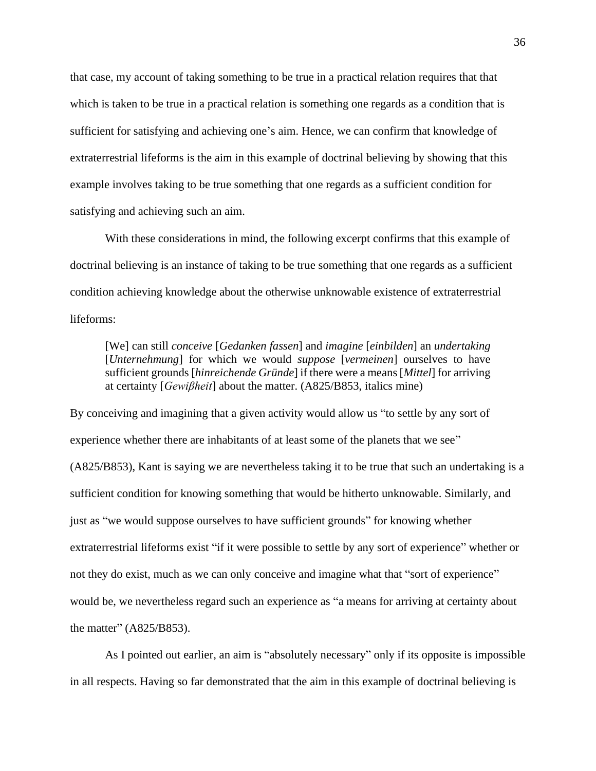that case, my account of taking something to be true in a practical relation requires that that which is taken to be true in a practical relation is something one regards as a condition that is sufficient for satisfying and achieving one's aim. Hence, we can confirm that knowledge of extraterrestrial lifeforms is the aim in this example of doctrinal believing by showing that this example involves taking to be true something that one regards as a sufficient condition for satisfying and achieving such an aim.

With these considerations in mind, the following excerpt confirms that this example of doctrinal believing is an instance of taking to be true something that one regards as a sufficient condition achieving knowledge about the otherwise unknowable existence of extraterrestrial lifeforms:

[We] can still *conceive* [*Gedanken fassen*] and *imagine* [*einbilden*] an *undertaking* [*Unternehmung*] for which we would *suppose* [*vermeinen*] ourselves to have sufficient grounds [*hinreichende Gründe*] if there were a means [*Mittel*] for arriving at certainty [*Gewiβheit*] about the matter. (A825/B853, italics mine)

By conceiving and imagining that a given activity would allow us "to settle by any sort of experience whether there are inhabitants of at least some of the planets that we see" (A825/B853), Kant is saying we are nevertheless taking it to be true that such an undertaking is a sufficient condition for knowing something that would be hitherto unknowable. Similarly, and just as "we would suppose ourselves to have sufficient grounds" for knowing whether extraterrestrial lifeforms exist "if it were possible to settle by any sort of experience" whether or not they do exist, much as we can only conceive and imagine what that "sort of experience" would be, we nevertheless regard such an experience as "a means for arriving at certainty about the matter" (A825/B853).

As I pointed out earlier, an aim is "absolutely necessary" only if its opposite is impossible in all respects. Having so far demonstrated that the aim in this example of doctrinal believing is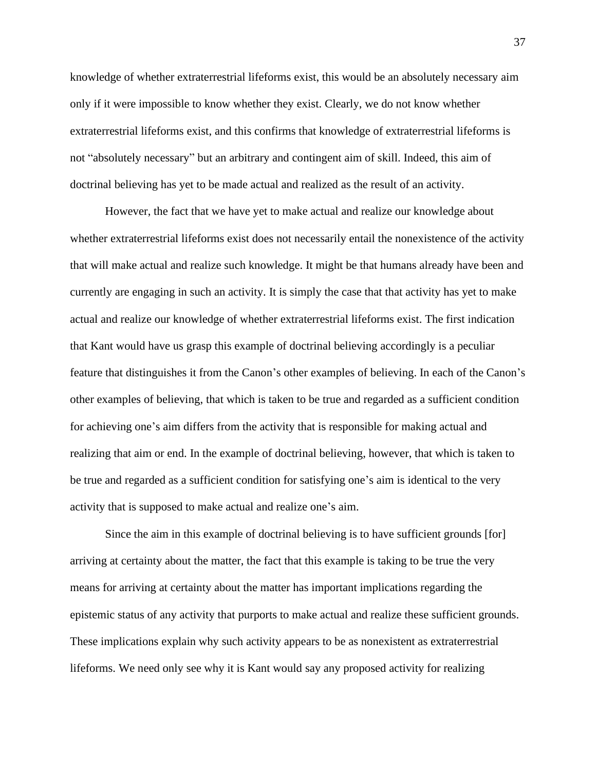knowledge of whether extraterrestrial lifeforms exist, this would be an absolutely necessary aim only if it were impossible to know whether they exist. Clearly, we do not know whether extraterrestrial lifeforms exist, and this confirms that knowledge of extraterrestrial lifeforms is not "absolutely necessary" but an arbitrary and contingent aim of skill. Indeed, this aim of doctrinal believing has yet to be made actual and realized as the result of an activity.

However, the fact that we have yet to make actual and realize our knowledge about whether extraterrestrial lifeforms exist does not necessarily entail the nonexistence of the activity that will make actual and realize such knowledge. It might be that humans already have been and currently are engaging in such an activity. It is simply the case that that activity has yet to make actual and realize our knowledge of whether extraterrestrial lifeforms exist. The first indication that Kant would have us grasp this example of doctrinal believing accordingly is a peculiar feature that distinguishes it from the Canon's other examples of believing. In each of the Canon's other examples of believing, that which is taken to be true and regarded as a sufficient condition for achieving one's aim differs from the activity that is responsible for making actual and realizing that aim or end. In the example of doctrinal believing, however, that which is taken to be true and regarded as a sufficient condition for satisfying one's aim is identical to the very activity that is supposed to make actual and realize one's aim.

Since the aim in this example of doctrinal believing is to have sufficient grounds [for] arriving at certainty about the matter, the fact that this example is taking to be true the very means for arriving at certainty about the matter has important implications regarding the epistemic status of any activity that purports to make actual and realize these sufficient grounds. These implications explain why such activity appears to be as nonexistent as extraterrestrial lifeforms. We need only see why it is Kant would say any proposed activity for realizing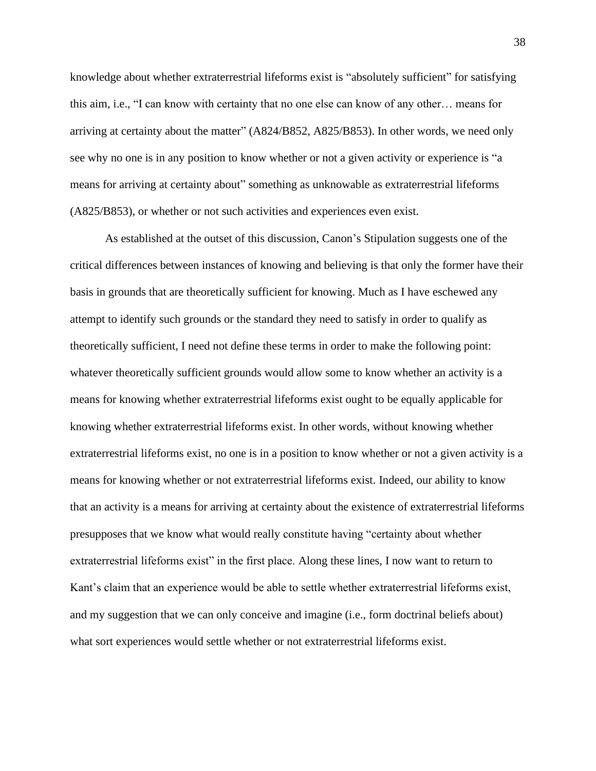knowledge about whether extraterrestrial lifeforms exist is "absolutely sufficient" for satisfying this aim, i.e., "I can know with certainty that no one else can know of any other… means for arriving at certainty about the matter" (A824/B852, A825/B853). In other words, we need only see why no one is in any position to know whether or not a given activity or experience is "a means for arriving at certainty about" something as unknowable as extraterrestrial lifeforms (A825/B853), or whether or not such activities and experiences even exist.

As established at the outset of this discussion, Canon's Stipulation suggests one of the critical differences between instances of knowing and believing is that only the former have their basis in grounds that are theoretically sufficient for knowing. Much as I have eschewed any attempt to identify such grounds or the standard they need to satisfy in order to qualify as theoretically sufficient, I need not define these terms in order to make the following point: whatever theoretically sufficient grounds would allow some to know whether an activity is a means for knowing whether extraterrestrial lifeforms exist ought to be equally applicable for knowing whether extraterrestrial lifeforms exist. In other words, without knowing whether extraterrestrial lifeforms exist, no one is in a position to know whether or not a given activity is a means for knowing whether or not extraterrestrial lifeforms exist. Indeed, our ability to know that an activity is a means for arriving at certainty about the existence of extraterrestrial lifeforms presupposes that we know what would really constitute having "certainty about whether extraterrestrial lifeforms exist" in the first place. Along these lines, I now want to return to Kant's claim that an experience would be able to settle whether extraterrestrial lifeforms exist, and my suggestion that we can only conceive and imagine (i.e., form doctrinal beliefs about) what sort experiences would settle whether or not extraterrestrial lifeforms exist.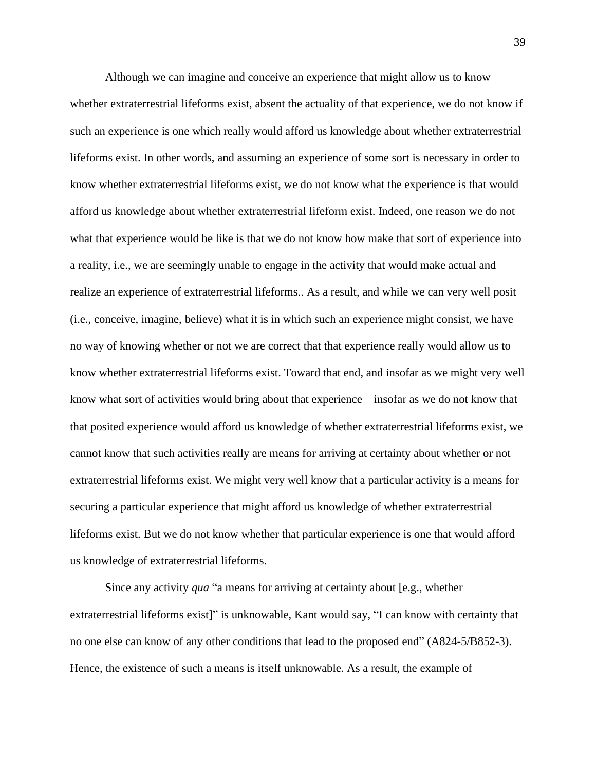Although we can imagine and conceive an experience that might allow us to know whether extraterrestrial lifeforms exist, absent the actuality of that experience, we do not know if such an experience is one which really would afford us knowledge about whether extraterrestrial lifeforms exist. In other words, and assuming an experience of some sort is necessary in order to know whether extraterrestrial lifeforms exist, we do not know what the experience is that would afford us knowledge about whether extraterrestrial lifeform exist. Indeed, one reason we do not what that experience would be like is that we do not know how make that sort of experience into a reality, i.e., we are seemingly unable to engage in the activity that would make actual and realize an experience of extraterrestrial lifeforms.. As a result, and while we can very well posit (i.e., conceive, imagine, believe) what it is in which such an experience might consist, we have no way of knowing whether or not we are correct that that experience really would allow us to know whether extraterrestrial lifeforms exist. Toward that end, and insofar as we might very well know what sort of activities would bring about that experience – insofar as we do not know that that posited experience would afford us knowledge of whether extraterrestrial lifeforms exist, we cannot know that such activities really are means for arriving at certainty about whether or not extraterrestrial lifeforms exist. We might very well know that a particular activity is a means for securing a particular experience that might afford us knowledge of whether extraterrestrial lifeforms exist. But we do not know whether that particular experience is one that would afford us knowledge of extraterrestrial lifeforms.

Since any activity *qua* "a means for arriving at certainty about [e.g., whether extraterrestrial lifeforms exist]" is unknowable, Kant would say, "I can know with certainty that no one else can know of any other conditions that lead to the proposed end" (A824-5/B852-3). Hence, the existence of such a means is itself unknowable. As a result, the example of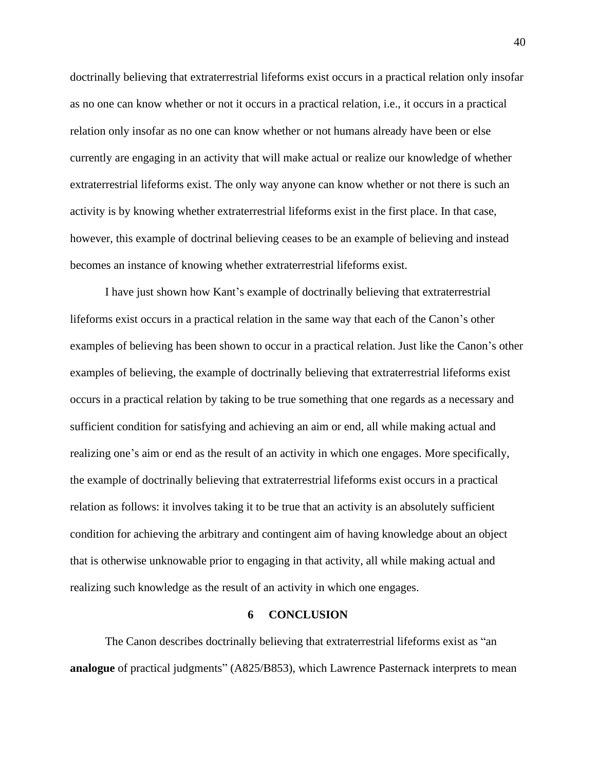doctrinally believing that extraterrestrial lifeforms exist occurs in a practical relation only insofar as no one can know whether or not it occurs in a practical relation, i.e., it occurs in a practical relation only insofar as no one can know whether or not humans already have been or else currently are engaging in an activity that will make actual or realize our knowledge of whether extraterrestrial lifeforms exist. The only way anyone can know whether or not there is such an activity is by knowing whether extraterrestrial lifeforms exist in the first place. In that case, however, this example of doctrinal believing ceases to be an example of believing and instead becomes an instance of knowing whether extraterrestrial lifeforms exist.

I have just shown how Kant's example of doctrinally believing that extraterrestrial lifeforms exist occurs in a practical relation in the same way that each of the Canon's other examples of believing has been shown to occur in a practical relation. Just like the Canon's other examples of believing, the example of doctrinally believing that extraterrestrial lifeforms exist occurs in a practical relation by taking to be true something that one regards as a necessary and sufficient condition for satisfying and achieving an aim or end, all while making actual and realizing one's aim or end as the result of an activity in which one engages. More specifically, the example of doctrinally believing that extraterrestrial lifeforms exist occurs in a practical relation as follows: it involves taking it to be true that an activity is an absolutely sufficient condition for achieving the arbitrary and contingent aim of having knowledge about an object that is otherwise unknowable prior to engaging in that activity, all while making actual and realizing such knowledge as the result of an activity in which one engages.

#### **6 CONCLUSION**

<span id="page-48-0"></span>The Canon describes doctrinally believing that extraterrestrial lifeforms exist as "an **analogue** of practical judgments" (A825/B853), which Lawrence Pasternack interprets to mean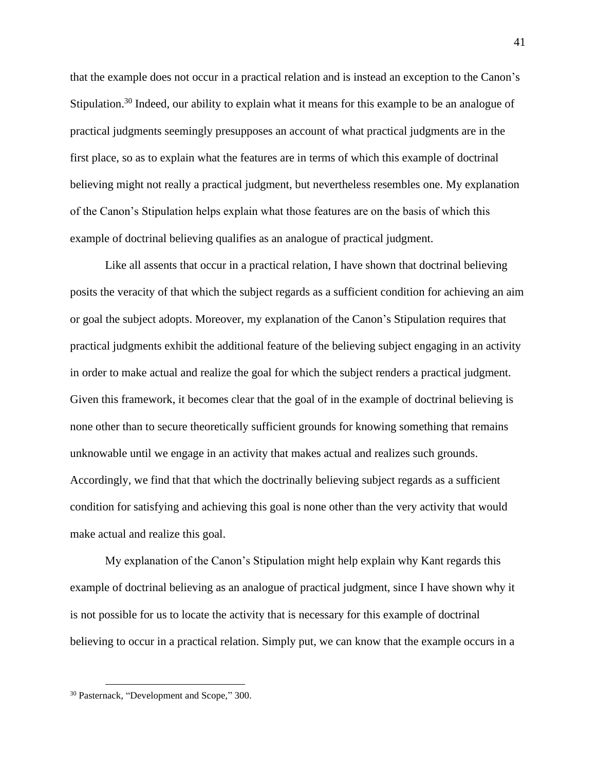that the example does not occur in a practical relation and is instead an exception to the Canon's Stipulation.<sup>30</sup> Indeed, our ability to explain what it means for this example to be an analogue of practical judgments seemingly presupposes an account of what practical judgments are in the first place, so as to explain what the features are in terms of which this example of doctrinal believing might not really a practical judgment, but nevertheless resembles one. My explanation of the Canon's Stipulation helps explain what those features are on the basis of which this example of doctrinal believing qualifies as an analogue of practical judgment.

Like all assents that occur in a practical relation, I have shown that doctrinal believing posits the veracity of that which the subject regards as a sufficient condition for achieving an aim or goal the subject adopts. Moreover, my explanation of the Canon's Stipulation requires that practical judgments exhibit the additional feature of the believing subject engaging in an activity in order to make actual and realize the goal for which the subject renders a practical judgment. Given this framework, it becomes clear that the goal of in the example of doctrinal believing is none other than to secure theoretically sufficient grounds for knowing something that remains unknowable until we engage in an activity that makes actual and realizes such grounds. Accordingly, we find that that which the doctrinally believing subject regards as a sufficient condition for satisfying and achieving this goal is none other than the very activity that would make actual and realize this goal.

My explanation of the Canon's Stipulation might help explain why Kant regards this example of doctrinal believing as an analogue of practical judgment, since I have shown why it is not possible for us to locate the activity that is necessary for this example of doctrinal believing to occur in a practical relation. Simply put, we can know that the example occurs in a

<sup>30</sup> Pasternack, "Development and Scope," 300.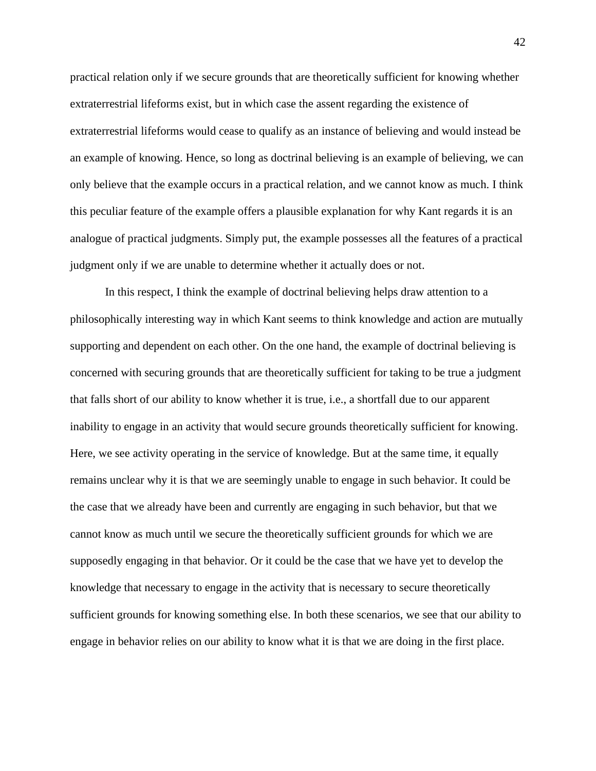practical relation only if we secure grounds that are theoretically sufficient for knowing whether extraterrestrial lifeforms exist, but in which case the assent regarding the existence of extraterrestrial lifeforms would cease to qualify as an instance of believing and would instead be an example of knowing. Hence, so long as doctrinal believing is an example of believing, we can only believe that the example occurs in a practical relation, and we cannot know as much. I think this peculiar feature of the example offers a plausible explanation for why Kant regards it is an analogue of practical judgments. Simply put, the example possesses all the features of a practical judgment only if we are unable to determine whether it actually does or not.

In this respect, I think the example of doctrinal believing helps draw attention to a philosophically interesting way in which Kant seems to think knowledge and action are mutually supporting and dependent on each other. On the one hand, the example of doctrinal believing is concerned with securing grounds that are theoretically sufficient for taking to be true a judgment that falls short of our ability to know whether it is true, i.e., a shortfall due to our apparent inability to engage in an activity that would secure grounds theoretically sufficient for knowing. Here, we see activity operating in the service of knowledge. But at the same time, it equally remains unclear why it is that we are seemingly unable to engage in such behavior. It could be the case that we already have been and currently are engaging in such behavior, but that we cannot know as much until we secure the theoretically sufficient grounds for which we are supposedly engaging in that behavior. Or it could be the case that we have yet to develop the knowledge that necessary to engage in the activity that is necessary to secure theoretically sufficient grounds for knowing something else. In both these scenarios, we see that our ability to engage in behavior relies on our ability to know what it is that we are doing in the first place.